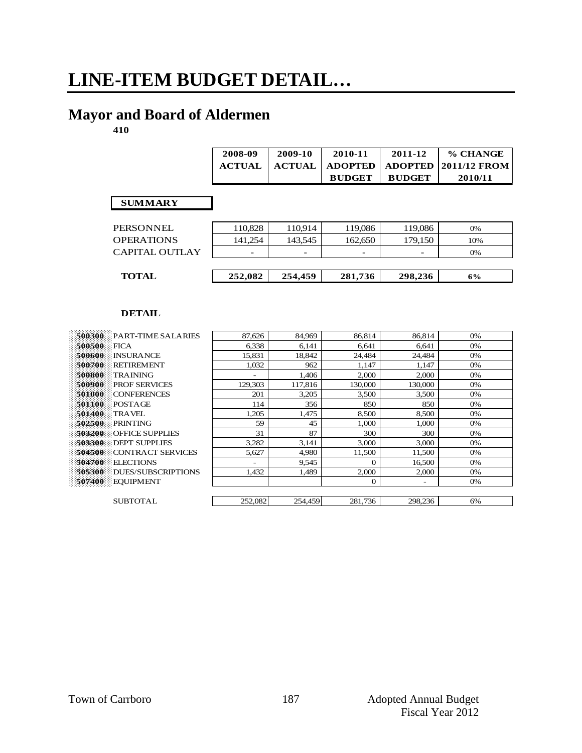# **LINE-ITEM BUDGET DETAIL…**

# **Mayor and Board of Aldermen**

**410**

|                   | 2008-09       | 2009-10       | 2010-11        | 2011-12        | % CHANGE     |
|-------------------|---------------|---------------|----------------|----------------|--------------|
|                   | <b>ACTUAL</b> | <b>ACTUAL</b> | <b>ADOPTED</b> | <b>ADOPTED</b> | 2011/12 FROM |
|                   |               |               | <b>BUDGET</b>  | <b>BUDGET</b>  | 2010/11      |
|                   |               |               |                |                |              |
| <b>SUMMARY</b>    |               |               |                |                |              |
|                   |               |               |                |                |              |
| <b>PERSONNEL</b>  | 110,828       | 110,914       | 119,086        | 119,086        | 0%           |
| <b>OPERATIONS</b> | 141,254       | 143,545       | 162,650        | 179,150        | 10%          |
| CAPITAL OUTLAY    |               |               |                |                | 0%           |
|                   |               |               |                |                |              |
| <b>TOTAL</b>      | 252,082       | 254,459       | 281,736        | 298,236        | 6%           |
|                   |               |               |                |                |              |

| $500300$ PART-TIME SALARIES         | 87,626  | 84,969  | 86,814   | 86,814                   | 0% |
|-------------------------------------|---------|---------|----------|--------------------------|----|
| 500500<br>FICA                      | 6,338   | 6,141   | 6.641    | 6.641                    | 0% |
| <b>INSURANCE</b><br>500600          | 15,831  | 18,842  | 24,484   | 24,484                   | 0% |
| 500700<br><b>RETIREMENT</b>         | 1.032   | 962     | 1,147    | 1.147                    | 0% |
| 500800<br><b>TRAINING</b>           |         | 1,406   | 2,000    | 2,000                    | 0% |
| 500900<br><b>PROF SERVICES</b>      | 129,303 | 117,816 | 130,000  | 130,000                  | 0% |
| 501000<br><b>CONFERENCES</b>        | 201     | 3,205   | 3,500    | 3,500                    | 0% |
| 501100<br>POSTAGE                   | 114     | 356     | 850      | 850                      | 0% |
| 501400<br><b>TRAVEL</b>             | 1,205   | 1,475   | 8,500    | 8,500                    | 0% |
| 502500<br>PRINTING                  | 59      | 45      | 1,000    | 1,000                    | 0% |
| 503200<br><b>OFFICE SUPPLIES</b>    | 31      | 87      | 300      | 300                      | 0% |
| 503300<br><b>DEPT SUPPLIES</b>      | 3,282   | 3,141   | 3,000    | 3,000                    | 0% |
| 504500<br>CONTRACT SERVICES         | 5,627   | 4,980   | 11,500   | 11,500                   | 0% |
| 504700<br><b>ELECTIONS</b>          |         | 9,545   | $\Omega$ | 16,500                   | 0% |
| 505300<br><b>DUES/SUBSCRIPTIONS</b> | 1,432   | 1,489   | 2,000    | 2,000                    | 0% |
| 507400<br>EQUIPMENT                 |         |         | $\theta$ | $\overline{\phantom{a}}$ | 0% |
|                                     |         |         |          |                          |    |
| <b>SUBTOTAL</b>                     | 252,082 | 254,459 | 281,736  | 298,236                  | 6% |
|                                     |         |         |          |                          |    |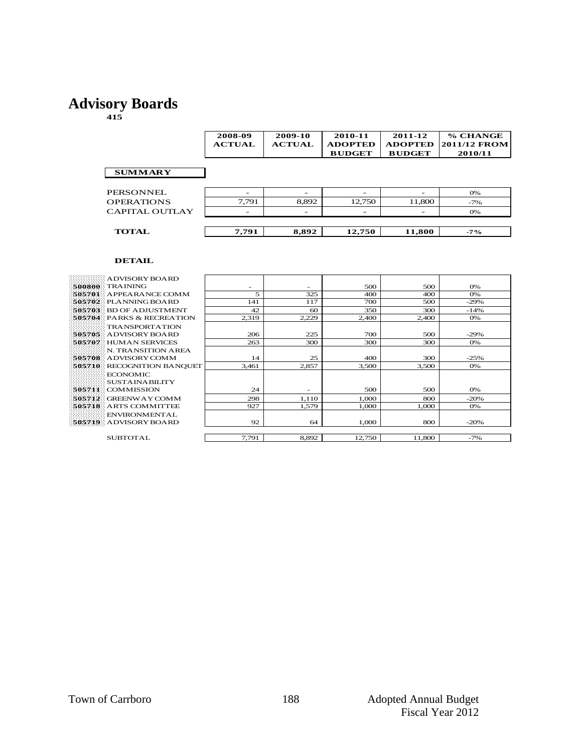### **Advisory Boards**

**415**

|                       | 2008-09<br><b>ACTUAL</b> | 2009-10<br><b>ACTUAL</b> | 2010-11<br><b>ADOPTED</b><br><b>BUDGET</b> | 2011-12<br><b>ADOPTED</b><br><b>BUDGET</b> | % CHANGE<br><b>2011/12 FROM</b><br>2010/11 |
|-----------------------|--------------------------|--------------------------|--------------------------------------------|--------------------------------------------|--------------------------------------------|
| <b>SUMMARY</b>        |                          |                          |                                            |                                            |                                            |
| PERSONNEL             |                          | -                        |                                            |                                            | 0%                                         |
| <b>OPERATIONS</b>     | 7,791                    | 8,892                    | 12,750                                     | 11,800                                     | $-7\%$                                     |
| <b>CAPITAL OUTLAY</b> |                          | -                        |                                            |                                            | 0%                                         |
|                       |                          |                          |                                            |                                            |                                            |
| <b>TOTAL</b>          | 7,791                    | 8,892                    | 12,750                                     | 11,800                                     | $-7\%$                                     |

| ADVISORY BOARD:            |       |       |        |        |        |
|----------------------------|-------|-------|--------|--------|--------|
| 500800 TRAINING            | -     | -     | 500    | 500    | 0%     |
| $505701$ APPEARANCE COMM   | 5     | 325   | 400    | 400    | 0%     |
| 505702 PLANNING BOARD      | 141   | 117   | 700    | 500    | $-29%$ |
| 505703 BD OF ADJUSTMENT    | 42    | 60    | 350    | 300    | $-14%$ |
| 505704 PARKS & RECREATION  | 2,319 | 2,229 | 2,400  | 2,400  | 0%     |
| <b>TRANSPORTATION</b>      |       |       |        |        |        |
| 505705 ADVISORY BOARD      | 206   | 225   | 700    | 500    | $-29%$ |
| 505707 HUMAN SERVICES      | 263   | 300   | 300    | 300    | 0%     |
| N. TRANSITION AREA         |       |       |        |        |        |
| 505708 ADVISORY COMM       | 14    | 25    | 400    | 300    | $-25%$ |
| 505710 RECOGNITION BANQUET | 3,461 | 2,857 | 3.500  | 3.500  | 0%     |
| ECONOMIC                   |       |       |        |        |        |
| <b>SUSTAINABILITY</b>      |       |       |        |        |        |
| 505711 COMMISSION          | 24    |       | 500    | 500    | 0%     |
| 505712 GREENWAY COMM       | 298   | 1,110 | 1.000  | 800    | $-20%$ |
| 505718 ARTS COMMITTEE      | 927   | 1,579 | 1,000  | 1.000  | 0%     |
| <b>ENVIRONMENTAL</b>       |       |       |        |        |        |
| 505719 ADVISORY BOARD      | 92    | 64    | 1.000  | 800    | $-20%$ |
|                            |       |       |        |        |        |
| <b>SUBTOTAL</b>            | 7,791 | 8,892 | 12,750 | 11,800 | $-7%$  |
|                            |       |       |        |        |        |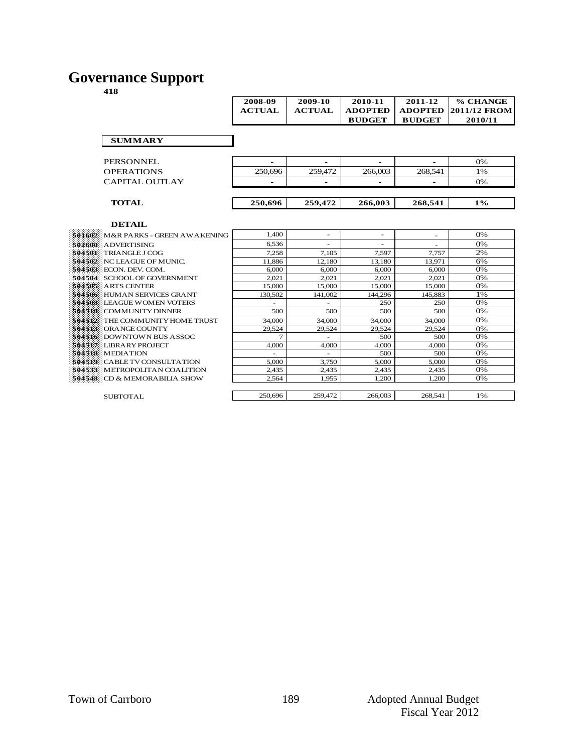### **Governance Support**

|                                                         | 2008-09                  | 2009-10                  | 2010-11                  | 2011-12                  | % CHANGE            |
|---------------------------------------------------------|--------------------------|--------------------------|--------------------------|--------------------------|---------------------|
|                                                         | <b>ACTUAL</b>            | <b>ACTUAL</b>            | <b>ADOPTED</b>           | <b>ADOPTED</b>           | <b>2011/12 FROM</b> |
|                                                         |                          |                          | <b>BUDGET</b>            | <b>BUDGET</b>            | 2010/11             |
|                                                         |                          |                          |                          |                          |                     |
| <b>SUMMARY</b>                                          |                          |                          |                          |                          |                     |
|                                                         |                          |                          |                          |                          |                     |
|                                                         |                          |                          |                          |                          |                     |
| <b>PERSONNEL</b>                                        | $\overline{\phantom{a}}$ | $\overline{\phantom{a}}$ | $\overline{\phantom{a}}$ | ÷                        | 0%                  |
| <b>OPERATIONS</b>                                       | 250,696                  | 259,472                  | 266,003                  | 268,541                  | 1%                  |
| CAPITAL OUTLAY                                          |                          | $\overline{a}$           |                          |                          | 0%                  |
|                                                         |                          |                          |                          |                          |                     |
|                                                         |                          |                          |                          |                          |                     |
| <b>TOTAL</b>                                            | 250,696                  | 259,472                  | 266,003                  | 268,541                  | $1\%$               |
|                                                         |                          |                          |                          |                          |                     |
| <b>DETAIL</b>                                           |                          |                          |                          |                          |                     |
|                                                         | 1.400                    | $\overline{\phantom{a}}$ | $\overline{\phantom{a}}$ |                          | 0%                  |
| 501602 M&R PARKS - GREEN AWAKENING                      |                          |                          |                          | $\overline{\phantom{a}}$ |                     |
| 502600 ADVERTISING                                      | 6.536                    | $\sim$                   | ٠                        |                          | 0%                  |
| 504501 TRIANGLE LCOG                                    | 7.258                    | 7.105                    | 7,597                    | 7.757                    | 2%                  |
| 504502 NC LEAGUE OF MUNIC.                              | 11.886                   | 12.180                   | 13.180                   | 13.971                   | 6%                  |
| 504503 ECON. DEV. COM.                                  | 6.000                    | 6,000                    | 6.000                    | 6.000                    | 0%<br>0%            |
| 504504 SCHOOL OF GOVERNMENT                             | 2.021                    | 2.021                    | 2.021                    | 2.021                    | 0%                  |
| 504505 ARTS CENTER<br>504506 HUMAN SERVICES GRANT       | 15,000                   | 15,000                   | 15,000<br>144.296        | 15,000<br>145.883        | 1%                  |
| 504508 LEAGUE WOMEN VOTERS                              | 130,502                  | 141.002                  | 250                      | 250                      | 0%                  |
| 504510 COMMUNITY DINNER                                 | 500                      | 500                      | 500                      | 500                      | 0%                  |
|                                                         |                          |                          |                          |                          | 0%                  |
| 504512 THE COMMUNITY HOME TRUST<br>504513 ORANGE COUNTY | 34,000<br>29,524         | 34,000<br>29,524         | 34,000<br>29,524         | 34,000<br>29,524         |                     |
| <b>\$04516</b> DOWNTOWN BUS ASSOC                       | $\tau$                   | $\overline{\phantom{a}}$ | 500                      | 500                      | 0%<br>0%            |
| 504517 LIBRARY PROJECT                                  | 4,000                    | 4,000                    | 4.000                    | 4.000                    | 0%                  |
| 504518 MEDIATION                                        |                          | $\sim$                   | 500                      | 500                      | 0%                  |
| 504519 CABLE TV CONSULTATION                            | 5.000                    | 3.750                    | 5,000                    | 5.000                    | 0%                  |
| 504533 METROPOLITAN COALITION                           | 2,435                    | 2,435                    | 2,435                    | 2,435                    | 0%                  |
| <b>504548</b> CD & MEMORABILIA SHOW                     | 2.564                    | 1.955                    | 1.200                    | 1.200                    | 0%                  |
|                                                         |                          |                          |                          |                          |                     |
| <b>SUBTOTAL</b>                                         | 250,696                  | 259,472                  | 266,003                  | 268,541                  | 1%                  |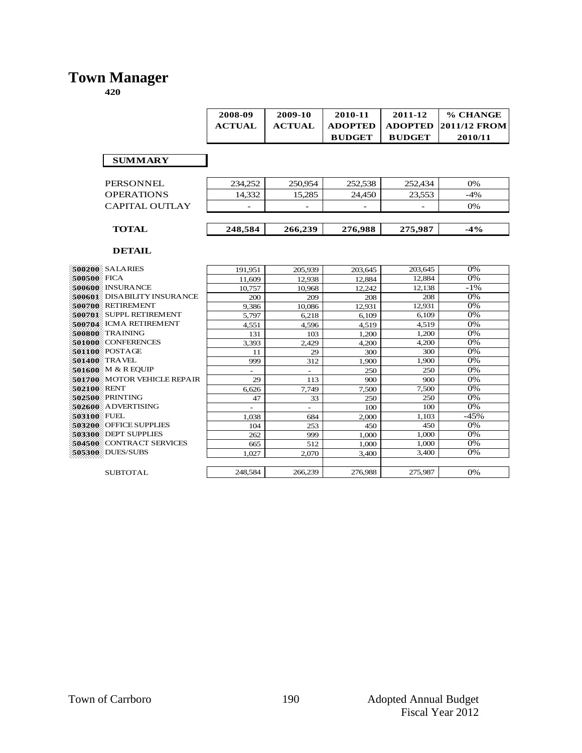### **Town Manager**

**420**

|                                    | 2008-09       | 2009-10       | 2010-11        | 2011-12        | % CHANGE     |
|------------------------------------|---------------|---------------|----------------|----------------|--------------|
|                                    | <b>ACTUAL</b> | <b>ACTUAL</b> | <b>ADOPTED</b> | <b>ADOPTED</b> | 2011/12 FROM |
|                                    |               |               | <b>BUDGET</b>  | <b>BUDGET</b>  | 2010/11      |
|                                    |               |               |                |                |              |
| <b>SUMMARY</b>                     |               |               |                |                |              |
|                                    |               |               |                |                |              |
| <b>PERSONNEL</b>                   | 234,252       | 250,954       | 252,538        | 252,434        | 0%           |
| <b>OPERATIONS</b>                  | 14,332        | 15,285        | 24,450         | 23,553         | $-4%$        |
| <b>CAPITAL OUTLAY</b>              |               |               |                |                | 0%           |
|                                    |               |               |                |                |              |
| <b>TOTAL</b>                       | 248,584       | 266,239       | 276,988        | 275,987        | $-4\%$       |
|                                    |               |               |                |                |              |
| <b>DETAIL</b>                      |               |               |                |                |              |
|                                    |               |               |                |                |              |
| <b>500200 SALARIES</b>             | 191.951       | 205.939       | 203.645        | 203.645        | 0%           |
| <b>500500 FICA</b>                 | 11.609        | 12.938        | 12,884         | 12.884         | 0%           |
| <b>SGO6GO: INSURANCE</b>           | 10.757        | 10.968        | 12.242         | 12.138         | $-1\%$       |
| <b>500601</b> DISABILITY INSURANCE | 200           | 209           | 208            | 208            | 0%           |
| <b>500700</b> RETIREMENT           | 9.386         | 10.086        | 12.931         | 12,931         | 0%           |
| 500701 SUPPL RETIREMENT            | 5,797         | 6.218         | 6.109          | 6.109          | 0%           |
| 500704: ICMA RETIREMENT            | 4.551         | 4.596         | 4.519          | 4.519          | 0%           |
| 500800 TRAINING                    | 131           | 103           | 1.200          | 1,200          | 0%           |
| 501000 CONFERENCES                 | 3,393         | 2,429         | 4,200          | 4,200          | 0%           |
| 501100 POSTAGE                     | 11            | 29            | 300            | 300            | 0%           |

**501400** TRAVEL 999 312 1,900 1,900 0%<br>**501600** M & R EQUIP **501600** M & R EQUIP<br>**501700** MOTOR VEHICLE REPAIR  $\begin{array}{|c|c|c|c|c|c|c|c|}\n\hline\n & 250 & 250 & 250 & 0\% \\
\hline\n & 29 & 113 & 900 & 900 & 0\% \\
\hline\n\end{array}$ 

 RENT 6,626 7,749 7,500 7,500 0%<br>**502500** PRINTING 47 33 250 250 0% PRINTING 47 33 250 250 0%<br> **502500** ADVERTISING 47 33 250 250 0% ADVERTISING - - 100 100 0% FUEL 1,038 684 2,000 1,103 -45% FUEL<br> **1,038** 684 2,000 1,103 -45%<br> **503200** OFFICE SUPPLIES 104 253 450 450 0%<br> **503300** DEPT SUPPLIES 262 999 1,000 1,000 0%

**504500** CONTRACT SERVICES 665 512 1,000 1,000 0%<br>**505300** DUES/SUBS 1,027 2,070 3,400 3,400 0%

**505300** DUES/SUBS 1,027 2,070 3,400 3,400 3,400

#### SUBTOTAL 248,584 266,239 276,988 275,987 0%

**503300** DEPT SUPPLIES

**501700** MOTOR VEHICLE REPAIR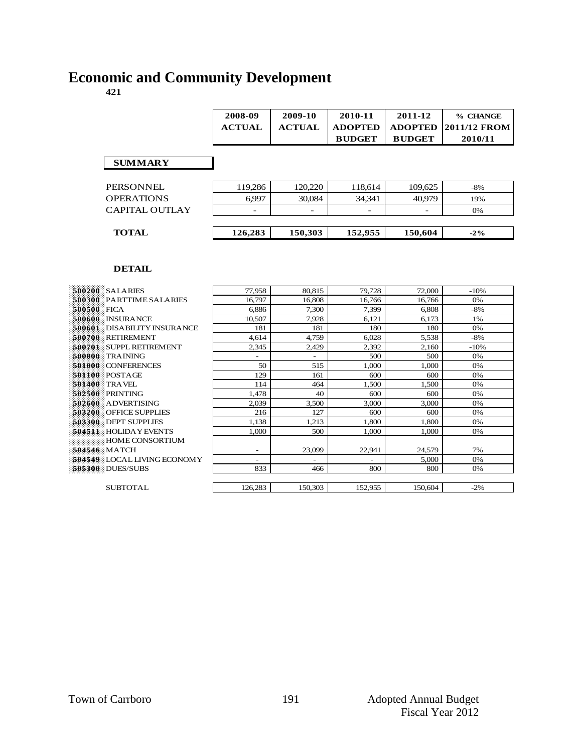#### **421**

|                                | 2008-09          | 2009-10           | 2010-11                         | 2011-12                         | % CHANGE                       |
|--------------------------------|------------------|-------------------|---------------------------------|---------------------------------|--------------------------------|
|                                | <b>ACTUAL</b>    | <b>ACTUAL</b>     | <b>ADOPTED</b><br><b>BUDGET</b> | <b>ADOPTED</b><br><b>BUDGET</b> | <b>2011/12 FROM</b><br>2010/11 |
|                                |                  |                   |                                 |                                 |                                |
|                                |                  |                   |                                 |                                 |                                |
| PERSONNEL<br><b>OPERATIONS</b> | 119,286<br>6,997 | 120,220<br>30,084 | 118,614<br>34,341               | 109,625<br>40,979               | $-8%$<br>19%                   |

| <b>500200 SALARIES</b>        | 77,958                   | 80,815                   | 79,728  | 72,000  | $-10%$ |
|-------------------------------|--------------------------|--------------------------|---------|---------|--------|
| 500300 PARTTIME SALARIES      | 16,797                   | 16,808                   | 16,766  | 16,766  | 0%     |
| 500500 FICA                   | 6,886                    | 7,300                    | 7,399   | 6,808   | $-8%$  |
| 500600 INSURANCE              | 10,507                   | 7,928                    | 6,121   | 6,173   | 1%     |
| 500601 DISABILITY INSURANCE   | 181                      | 181                      | 180     | 180     | 0%     |
| 500700 RETIREMENT             | 4,614                    | 4,759                    | 6,028   | 5,538   | $-8%$  |
| 500701 SUPPL RETIREMENT       | 2,345                    | 2,429                    | 2,392   | 2,160   | $-10%$ |
| 500800 TRAINING               | ۰                        | $\overline{\phantom{a}}$ | 500     | 500     | 0%     |
| 501000 CONFERENCES            | 50                       | 515                      | 1.000   | 1.000   | 0%     |
| $501100$ POSTAGE              | 129                      | 161                      | 600     | 600     | 0%     |
| <b>501400 TRAVEL</b>          | 114                      | 464                      | 1,500   | 1,500   | 0%     |
| <b>\$02500 PRINTING</b>       | 1.478                    | 40                       | 600     | 600     | 0%     |
| 502600 ADVERTISING            | 2,039                    | 3,500                    | 3,000   | 3,000   | 0%     |
| <b>503200 OFFICE SUPPLIES</b> | 216                      | 127                      | 600     | 600     | 0%     |
| 503300 DEPT SUPPLIES          | 1,138                    | 1,213                    | 1,800   | 1.800   | 0%     |
| <b>504511 HOLIDAY EVENTS</b>  | 1.000                    | 500                      | 1.000   | 1.000   | 0%     |
| HOME CONSORTIUM               |                          |                          |         |         |        |
| 504546 MATCH                  | $\overline{\phantom{a}}$ | 23,099                   | 22,941  | 24,579  | 7%     |
| 504549 LOCAL LIVING ECONOM Y  | ۰                        | $\overline{a}$           |         | 5,000   | 0%     |
| 505300 DUES/SUBS              | 833                      | 466                      | 800     | 800     | 0%     |
|                               |                          |                          |         |         |        |
| <b>SUBTOTAL</b>               | 126,283                  | 150,303                  | 152,955 | 150.604 | $-2\%$ |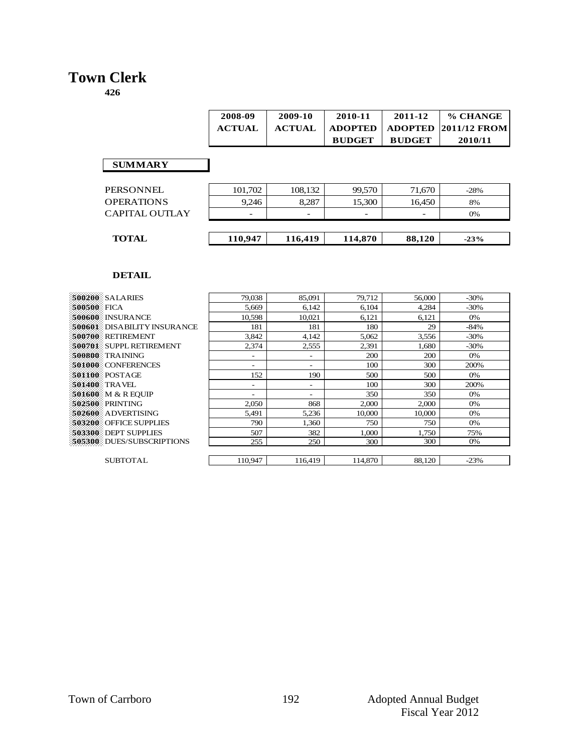# **Town Clerk**

**426**

|    | 2008-09<br><b>ACTUAL</b> | 2009-10<br><b>ACTUAL</b> | 2010-11<br><b>ADOPTED</b> | 2011-12       | % CHANGE<br>$\mid$ ADOPTED $\mid$ 2011/12 FROM |
|----|--------------------------|--------------------------|---------------------------|---------------|------------------------------------------------|
| ίY |                          |                          | <b>BUDGET</b>             | <b>BUDGET</b> | 2010/11                                        |

#### **SUMMARY**

| 101,702                  | 108,132                  | 99,570                   | 71,670  | $-28%$ |
|--------------------------|--------------------------|--------------------------|---------|--------|
| 9.246                    | 8,287                    | 15,300                   | 16.450  | 8%     |
| $\overline{\phantom{0}}$ | $\overline{\phantom{0}}$ | $\overline{\phantom{a}}$ |         | 0%     |
|                          |                          |                          |         |        |
|                          |                          |                          |         | $-23%$ |
|                          | 110,947                  | 116,419                  | 114,870 | 88.120 |

| 500200 SALARIES             | 79,038  | 85,091                   | 79,712  | 56,000 | $-30\%$ |
|-----------------------------|---------|--------------------------|---------|--------|---------|
| 500500 FICA                 | 5,669   | 6,142                    | 6,104   | 4,284  | $-30\%$ |
| 500600 INSURANCE            | 10.598  | 10.021                   | 6,121   | 6,121  | 0%      |
| 500601 DISABILITY INSURANCE | 181     | 181                      | 180     | 29     | $-84%$  |
| <b>500700 RETIREMENT</b>    | 3,842   | 4,142                    | 5,062   | 3,556  | $-30\%$ |
| 500701 SUPPL RETIREMENT     | 2,374   | 2,555                    | 2,391   | 1,680  | $-30\%$ |
| 500800 TRAINING             | -       | $\overline{\phantom{a}}$ | 200     | 200    | 0%      |
| 501000 CONFERENCES          | Ξ.      | $\overline{\phantom{a}}$ | 100     | 300    | 200%    |
| <b>501100 POSTAGE</b>       | 152     | 190                      | 500     | 500    | 0%      |
| <b>501400 TRAVEL</b>        | Ξ.      | $\overline{\phantom{a}}$ | 100     | 300    | 200%    |
| <b>501600</b> M & R EOUIP   |         | $\overline{\phantom{0}}$ | 350     | 350    | 0%      |
| 502500 PRINTING             | 2,050   | 868                      | 2,000   | 2,000  | 0%      |
| 502600 ADVERTISING          | 5,491   | 5,236                    | 10,000  | 10,000 | 0%      |
| 503200 OFFICE SUPPLIES      | 790     | 1,360                    | 750     | 750    | 0%      |
| 503300 DEPT SUPPLIES        | 507     | 382                      | 1,000   | 1,750  | 75%     |
| 505300 DUES/SUBSCRIPTIONS   | 255     | 250                      | 300     | 300    | 0%      |
|                             |         |                          |         |        |         |
| <b>SUBTOTAL</b>             | 110,947 | 116,419                  | 114,870 | 88,120 | $-23%$  |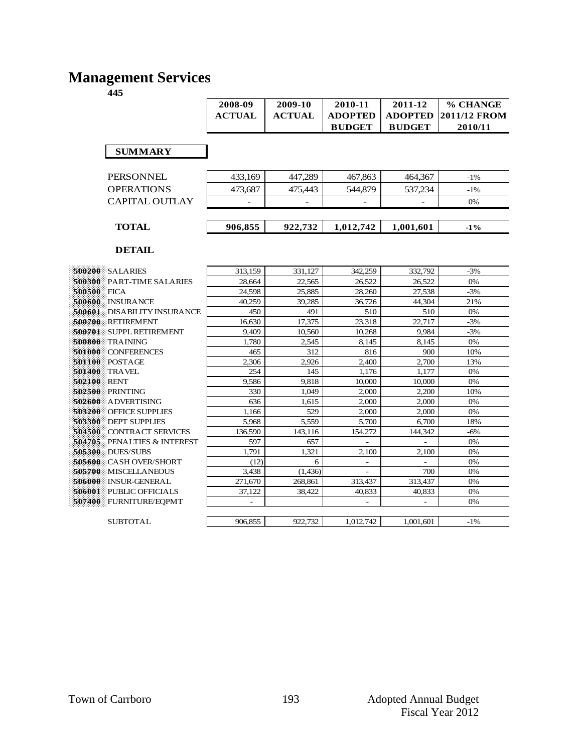# **Management Services**

| 2008-09 | 2009-10 | 2010-11       | 2011-12       | % CHANGE                        |
|---------|---------|---------------|---------------|---------------------------------|
| ACTUAL  | ACTUAL  |               |               | ADOPTED   ADOPTED  2011/12 FROM |
|         |         | <b>BUDGET</b> | <b>BUDGET</b> | 2010/11                         |

 **SUMMARY**

| <b>TOTAL</b>      | 906,855                  | 922.732                  | 1,012,742                | 1,001,601 | $-1\%$ |  |
|-------------------|--------------------------|--------------------------|--------------------------|-----------|--------|--|
|                   |                          |                          |                          |           |        |  |
| CAPITAL OUTLAY    | $\overline{\phantom{a}}$ | $\overline{\phantom{0}}$ | $\overline{\phantom{0}}$ |           | 0%     |  |
| <b>OPERATIONS</b> | 473.687                  | 475.443                  | 544,879                  | 537.234   | $-1\%$ |  |
| <b>PERSONNEL</b>  | 433.169                  | 447.289                  | 467,863                  | 464.367   | $-1\%$ |  |

| 500200 SALARIES                    | 313,159 | 331,127  | 342,259                  | 332,792   | $-3%$  |
|------------------------------------|---------|----------|--------------------------|-----------|--------|
| 500300 PART-TIME SALARIES          | 28,664  | 22,565   | 26,522                   | 26,522    | 0%     |
| 500500 FICA                        | 24,598  | 25,885   | 28,260                   | 27,538    | $-3%$  |
| 500600 INSURANCE                   | 40,259  | 39,285   | 36,726                   | 44,304    | 21%    |
| DISABILITY INSURANCE<br>500601     | 450     | 491      | 510                      | 510       | 0%     |
| RETIREMENT<br>500700               | 16,630  | 17,375   | 23,318                   | 22,717    | $-3%$  |
| <b>SUPPL RETIREMENT</b><br>500701  | 9,409   | 10,560   | 10,268                   | 9,984     | $-3%$  |
| 500800<br><b>TRAINING</b>          | 1,780   | 2,545    | 8,145                    | 8,145     | 0%     |
| 501000 CONFERENCES                 | 465     | 312      | 816                      | 900       | 10%    |
| $501100$ POSTAGE                   | 2,306   | 2,926    | 2,400                    | 2,700     | 13%    |
| 501400<br>TRAVEL                   | 254     | 145      | 1,176                    | 1,177     | 0%     |
| 502100 RENT                        | 9,586   | 9,818    | 10,000                   | 10,000    | 0%     |
| 502500<br>PRINTING                 | 330     | 1.049    | 2,000                    | 2,200     | 10%    |
| 502600 ADVERTISING                 | 636     | 1,615    | 2,000                    | 2,000     | 0%     |
| <b>503200 OFFICE SUPPLIES</b>      | 1,166   | 529      | 2,000                    | 2,000     | 0%     |
| <b>503300 DEPT SUPPLIES</b>        | 5,968   | 5,559    | 5,700                    | 6,700     | 18%    |
| 504500<br><b>CONTRACT SERVICES</b> | 136,590 | 143,116  | 154,272                  | 144,342   | $-6%$  |
| 504705<br>PENALTIES & INTEREST     | 597     | 657      | $\overline{\phantom{a}}$ | ÷,        | 0%     |
| <b>505300 DUES/SUBS</b>            | 1,791   | 1,321    | 2,100                    | 2,100     | 0%     |
| 505600 CASH OVER/SHORT             | (12)    | 6        | $\overline{\phantom{a}}$ |           | 0%     |
| 505700 MISCELLANEOUS               | 3,438   | (1, 436) |                          | 700       | 0%     |
| 506000 INSUR-GENERAL               | 271,670 | 268,861  | 313,437                  | 313,437   | 0%     |
| <b>SO6001</b> PUBLIC OFFICIALS     | 37,122  | 38,422   | 40,833                   | 40,833    | 0%     |
| 507400 FURNITURE/EQPMT             |         |          |                          |           | 0%     |
|                                    |         |          |                          |           |        |
| <b>SUBTOTAL</b>                    | 906,855 | 922,732  | 1.012.742                | 1,001,601 | $-1\%$ |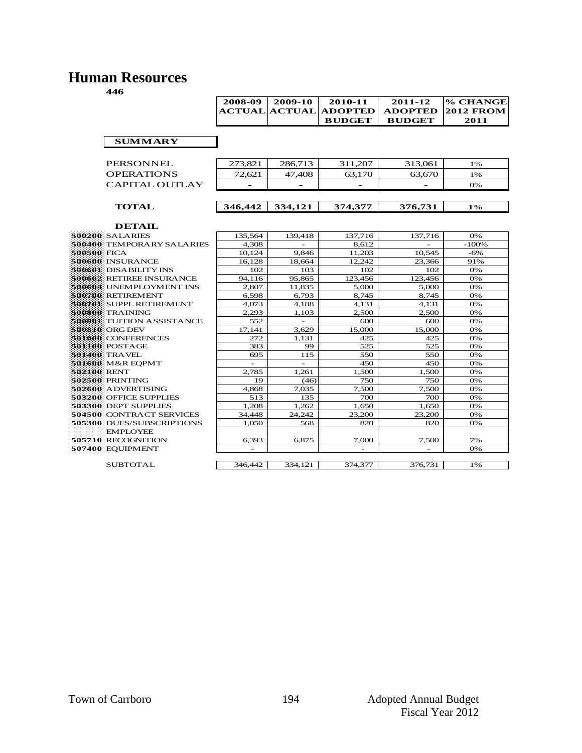### **Human Resources**

| ---               |         |                      |                |                |                  |
|-------------------|---------|----------------------|----------------|----------------|------------------|
|                   | 2008-09 | 2009-10              | 2010-11        | 2011-12        | % CHANGE         |
|                   |         | <b>ACTUAL ACTUAL</b> | <b>ADOPTED</b> | <b>ADOPTED</b> | <b>2012 FROM</b> |
|                   |         |                      | <b>BUDGET</b>  | <b>BUDGET</b>  | 2011             |
|                   |         |                      |                |                |                  |
| <b>SUMMARY</b>    |         |                      |                |                |                  |
|                   |         |                      |                |                |                  |
| PERSONNEL         | 273,821 | 286,713              | 311,207        | 313,061        | 1%               |
| <b>OPERATIONS</b> | 72,621  | 47,408               | 63,170         | 63,670         | 1%               |
| CAPITAL OUTLAY    |         |                      |                |                | 0%               |
|                   |         |                      |                |                |                  |
| <b>TOTAL</b>      | 346,442 | 334,121              | 374,377        | 376,731        | $1\%$            |
|                   |         |                      |                |                |                  |
| <b>DETAIL</b>     |         |                      |                |                |                  |

|              | 500200 SALARIES                  |
|--------------|----------------------------------|
|              | 500400 TEMPORARY SALARIES        |
| 500500: FICA |                                  |
|              | <b>500600: INSURANCE</b>         |
|              | 500601: DISA BILITY INS          |
|              | 500602: RETIREE INSURANCE        |
|              | 500604 UNEMPLOYMENT INS          |
|              | 500700 RETIREMENT                |
|              | 500701: SUPPL RETIREMENT         |
|              | 500800: TRAINING                 |
|              | 500801 TUITION ASSISTANCE        |
|              | 500810 ORG DEV                   |
|              | 501000 CONFERENCES               |
|              | 501100 POSTAGE                   |
|              | 501400. TRA VEL                  |
|              | 501600 M&R EQPMT                 |
| 502100 RENT  |                                  |
|              | 502500 PRINTING                  |
|              | 502600 ADVERTISING               |
|              | 503200 OFFICE SUPPLIES           |
|              | 503300: DEPT SUPPLIES            |
|              | <b>504500 CONTRACT SERVICES</b>  |
|              | <b>505300</b> DUES/SUBSCRIPTIONS |
|              | <b>EMPLOYEE</b>                  |
|              | 505710 RECOGNITION               |
|              | 507400 EQUIPMENT                 |
|              |                                  |

| DETAIL                           |          |         |         |         |         |
|----------------------------------|----------|---------|---------|---------|---------|
| 500200 SALARIES                  | 135.564  | 139,418 | 137,716 | 137,716 | 0%      |
| 500400 TEMPORARY SALARIES        | 4.308    |         | 8.612   |         | $-100%$ |
| 500500 FICA                      | 10,124   | 9.846   | 11.203  | 10.545  | $-6%$   |
| 500600 INSURANCE                 | 16,128   | 18,664  | 12,242  | 23,366  | 91%     |
| 500601: DISABILITY INS           | 102      | 103     | 102     | 102     | 0%      |
| 500602 RETIREE INSURANCE         | 94.116   | 95.865  | 123,456 | 123,456 | 0%      |
| 500604 UNEMPLOYMENT INS          | 2.807    | 11,835  | 5,000   | 5,000   | 0%      |
| 500700: RETIREMENT               | 6,598    | 6,793   | 8,745   | 8,745   | 0%      |
| 500701 SUPPL RETIREMENT          | 4,073    | 4,188   | 4,131   | 4,131   | 0%      |
| 500800: TRAINING                 | 2,293    | 1,103   | 2,500   | 2,500   | 0%      |
| 500801 TUITION ASSISTANCE        | 552      |         | 600     | 600     | 0%      |
| 500810 ORG DEV                   | 17,141   | 3.629   | 15,000  | 15,000  | 0%      |
| 501000 CONFERENCES               | 272      | 1,131   | 425     | 425     | 0%      |
| 501100 POSTAGE                   | 383      | 99      | 525     | 525     | 0%      |
| 501400 TRAVEL                    | 695      | 115     | 550     | 550     | 0%      |
| 501600 M&R EOPMT                 | $\equiv$ |         | 450     | 450     | 0%      |
| 502100 RENT                      | 2.785    | 1,261   | 1,500   | 1,500   | 0%      |
| 502500 PRINTING                  | 19       | (46)    | 750     | 750     | 0%      |
| 502600: A DVERTISING             | 4,868    | 7.035   | 7.500   | 7,500   | 0%      |
| <b>503200</b> : OFFICE SUPPLIES  | 513      | 135     | 700     | 700     | 0%      |
| 503300 DEPT SUPPLIES             | 1.208    | 1.262   | 1.650   | 1.650   | 0%      |
| 504500 CONTRACT SERVICES         | 34,448   | 24.242  | 23,200  | 23,200  | 0%      |
| <b>505300 DUES/SUBSCRIPTIONS</b> | 1,050    | 568     | 820     | 820     | 0%      |
| <b>EMPLOYEE</b>                  |          |         |         |         |         |
| 505710 RECOGNITION               | 6,393    | 6,875   | 7,000   | 7,500   | 7%      |
| 507400 EQUIPMENT                 |          |         |         |         | 0%      |
|                                  |          |         |         |         |         |
| <b>SUBTOTAL</b>                  | 346,442  | 334.121 | 374,377 | 376.731 | 1%      |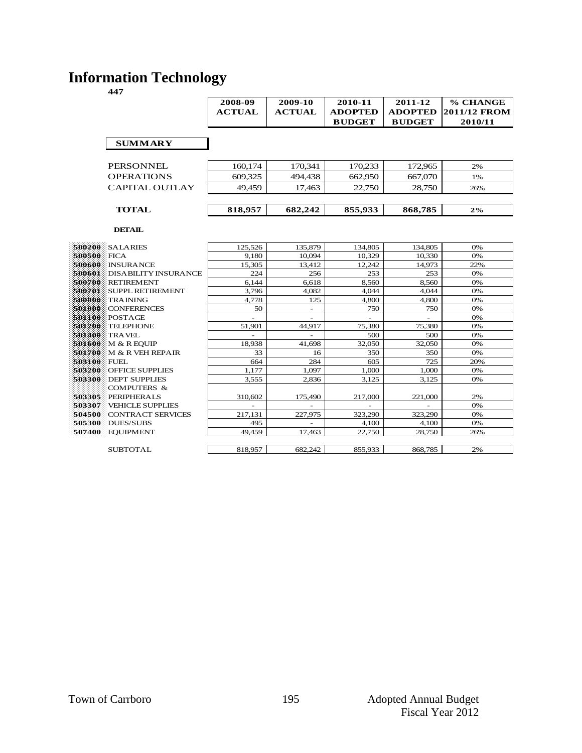### **Information Technology**

|                             | 2008-09        | 2009-10       | 2010-11        | 2011-12        | % CHANGE     |
|-----------------------------|----------------|---------------|----------------|----------------|--------------|
|                             | <b>ACTUAL</b>  | <b>ACTUAL</b> | <b>ADOPTED</b> | <b>ADOPTED</b> | 2011/12 FROM |
|                             |                |               | <b>BUDGET</b>  | <b>BUDGET</b>  | 2010/11      |
|                             |                |               |                |                |              |
| <b>SUMMARY</b>              |                |               |                |                |              |
|                             |                |               |                |                |              |
| <b>PERSONNEL</b>            | 160,174        | 170,341       | 170,233        | 172,965        | 2%           |
| <b>OPERATIONS</b>           | 609,325        | 494,438       | 662,950        | 667,070        | 1%           |
| CAPITAL OUTLAY              | 49.459         | 17.463        | 22,750         | 28.750         | 26%          |
|                             |                |               |                |                |              |
| <b>TOTAL</b>                | 818,957        | 682,242       | 855,933        | 868,785        | $2\%$        |
| <b>DETAIL</b>               |                |               |                |                |              |
|                             |                |               |                |                |              |
| <b>500200 SALARIES</b>      | 125,526        | 135,879       | 134,805        | 134,805        | 0%           |
| 500500 FICA                 | 9.180          | 10.094        | 10.329         | 10,330         | 0%           |
| 500600 INSURANCE            | 15,305         | 13,412        | 12.242         | 14,973         | 22%          |
| 500601 DISABILITY INSURANCE | 224            | 256           | 253            | 253            | 0%           |
| 500700 RETIREMENT           | 6,144          | 6.618         | 8,560          | 8,560          | 0%           |
| 500701 SUPPL RETIREMENT     | 3,796          | 4,082         | 4.044          | 4.044          | 0%           |
| 500800 TRAINING             | 4,778          | 125           | 4,800          | 4.800          | 0%           |
| 501000 CONFERENCES          | 50             |               | 750            | 750            | 0%           |
| 501100 POSTAGE              | $\overline{a}$ | $\sim$        | ÷.             | ÷.             | 0%           |
| 501200 TELEPHONE            | 51,901         | 44,917        | 75,380         | 75,380         | 0%           |
| <b>501400 TRAVEL</b>        |                |               | 500            | 500            | 0%           |
| 501600 M & R EOUIP          | 18,938         | 41.698        | 32,050         | 32,050         | 0%           |
| 501700 M & R VEH REPAIR     | 33             | 16            | 350            | 350            | 0%           |
| 503100 FUEL                 | 664            | 284           | 605            | 725            | 20%          |
| 503200 OFFICE SUPPLIES      | 1,177          | 1.097         | 1.000          | 1,000          | 0%           |
| 503300 DEPT SUPPLIES        | 3,555          | 2.836         | 3.125          | 3.125          | 0%           |
| <b>COMPUTERS &amp;</b>      |                |               |                |                |              |
| 503305 PERIPHERALS          | 310,602        | 175,490       | 217,000        | 221,000        | 2%           |
| 503307 VEHICLE SUPPLIES     |                |               |                |                | 0%           |
| 504500 CONTRACT SERVICES    | 217,131        | 227,975       | 323,290        | 323,290        | 0%           |
| <b>505300</b> DUES/SUBS     | 495            |               | 4,100          | 4,100          | 0%           |
| 507400 EQUIPMENT            | 49.459         | 17.463        | 22,750         | 28,750         | 26%          |
|                             |                |               |                |                |              |
| <b>SUBTOTAL</b>             | 818,957        | 682.242       | 855.933        | 868.785        | 2%           |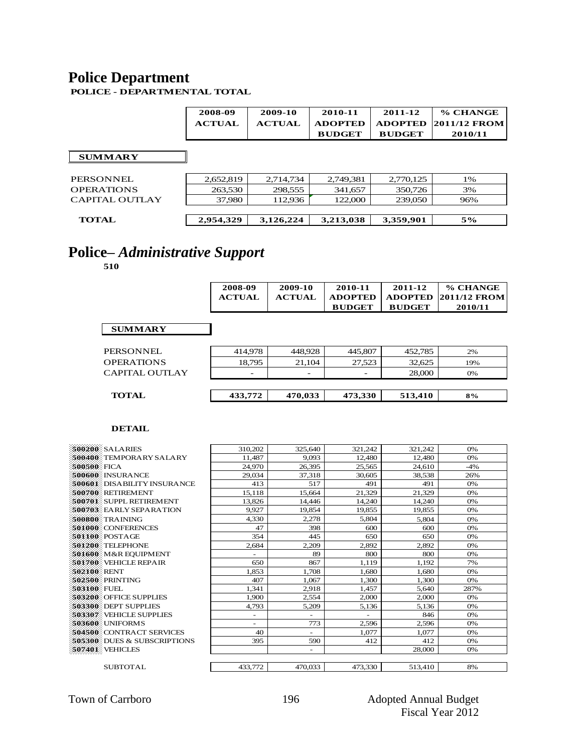### **Police Department**

**POLICE - DEPARTMENTAL TOTAL**

|                | 2008-09       | 2009-10       | 2010-11        | 2011-12        | % CHANGE            |
|----------------|---------------|---------------|----------------|----------------|---------------------|
|                | <b>ACTUAL</b> | <b>ACTUAL</b> | <b>ADOPTED</b> | <b>ADOPTED</b> | <b>2011/12 FROM</b> |
|                |               |               | <b>BUDGET</b>  | <b>BUDGET</b>  | 2010/11             |
|                |               |               |                |                |                     |
| <b>SUMMARY</b> |               |               |                |                |                     |
|                |               |               |                |                |                     |
| PERSONNEL.     | 2,652,819     | 2.714.734     | 2,749,381      | 2,770,125      | 1%                  |
| OPERATIONS     | 263,530       | 298,555       | 341,657        | 350,726        | 3%                  |
| CAPITAL OUTLAY | 37,980        | 112,936       | 122,000        | 239,050        | 96%                 |
|                |               |               |                |                |                     |
| <b>TOTAL</b>   | 2,954,329     | 3,126,224     | 3,213,038      | 3,359,901      | 5%                  |
|                |               |               |                |                |                     |

# **Police–** *Administrative Support*

**510**

| 2008-09       | 2009-10       | 2010-11        | 2011-12       | % CHANGE                    |
|---------------|---------------|----------------|---------------|-----------------------------|
| <b>ACTUAL</b> | <b>ACTUAL</b> | <b>ADOPTED</b> |               | <b>ADOPTED 2011/12 FROM</b> |
|               |               | <b>BUDGET</b>  | <b>BUDGET</b> | 2010/11                     |

| PERSONNEL             | 414.978 | 448.928 | 445,807                  | 452,785 | 2%  |
|-----------------------|---------|---------|--------------------------|---------|-----|
| <b>OPERATIONS</b>     | 18.795  | 21.104  | 27,523                   | 32.625  | 19% |
| <b>CAPITAL OUTLAY</b> | -       | -       | $\overline{\phantom{a}}$ | 28,000  | 0%  |
|                       |         |         |                          |         |     |
| <b>TOTAL</b>          | 433,772 | 470,033 | 473,330                  | 513.410 | 8%  |
|                       |         |         |                          |         |     |

| 500200 SALARIES                | 310,202                  | 325,640                  | 321.242                  | 321,242 | 0%    |
|--------------------------------|--------------------------|--------------------------|--------------------------|---------|-------|
| <b>500400</b> TEMPORARY SALARY | 11,487                   | 9.093                    | 12,480                   | 12,480  | 0%    |
| 500500 FICA                    | 24,970                   | 26.395                   | 25,565                   | 24,610  | $-4%$ |
| 500600 INSURANCE               | 29.034                   | 37.318                   | 30.605                   | 38.538  | 26%   |
| 500601 DISABILITY INSURANCE    | 413                      | 517                      | 491                      | 491     | 0%    |
| 500700 RETIREMENT              | 15,118                   | 15.664                   | 21,329                   | 21.329  | 0%    |
| 500701 SUPPL RETIREMENT        | 13,826                   | 14,446                   | 14,240                   | 14,240  | 0%    |
| 500703 EARLY SEPARATION        | 9,927                    | 19,854                   | 19,855                   | 19,855  | 0%    |
| 500800 TRAINING                | 4.330                    | 2,278                    | 5.804                    | 5,804   | 0%    |
| 501000 CONFERENCES             | 47                       | 398                      | 600                      | 600     | 0%    |
| 501100 POSTAGE                 | 354                      | 445                      | 650                      | 650     | 0%    |
| 501200 TELEPHONE               | 2,684                    | 2,209                    | 2,892                    | 2,892   | 0%    |
| 501600 M&R EOUIPMENT           | $\overline{\phantom{0}}$ | 89                       | 800                      | 800     | 0%    |
| 501700 VEHICLE REPAIR          | 650                      | 867                      | 1.119                    | 1,192   | 7%    |
| 502100 RENT                    | 1,853                    | 1,708                    | 1,680                    | 1,680   | 0%    |
| 502500 PRINTING                | 407                      | 1.067                    | 1.300                    | 1.300   | 0%    |
| 503100 FUEL                    | 1.341                    | 2,918                    | 1,457                    | 5,640   | 287%  |
| 503200 OFFICE SUPPLIES         | 1.900                    | 2.554                    | 2.000                    | 2,000   | 0%    |
| 503300 DEPT SUPPLIES           | 4,793                    | 5,209                    | 5,136                    | 5,136   | 0%    |
| 503307 VEHICLE SUPPLIES        | -                        | $\overline{\phantom{a}}$ | $\overline{\phantom{0}}$ | 846     | 0%    |
| <b>503600</b> UNIFORMS         | Ξ.                       | 773                      | 2,596                    | 2,596   | 0%    |
| 504500 CONTRACT SERVICES       | 40                       | ÷.                       | 1.077                    | 1,077   | 0%    |
| 505300 DUES & SUBSCRIPTIONS    | 395                      | 590                      | 412                      | 412     | 0%    |
| 507401 VEHICLES                |                          | $\overline{\phantom{a}}$ |                          | 28,000  | 0%    |
|                                |                          |                          |                          |         |       |
| <b>SUBTOTAL</b>                | 433,772                  | 470.033                  | 473,330                  | 513.410 | 8%    |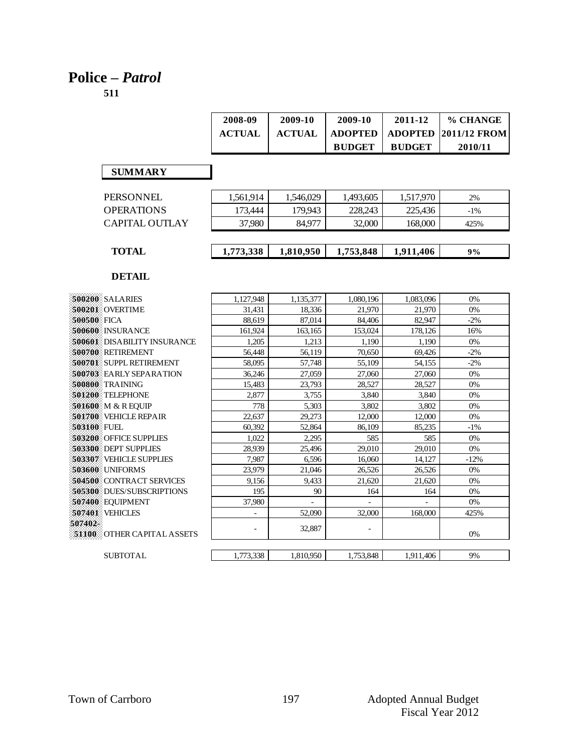### **Police –** *Patrol*

|                                    | 2008-09       | 2009-10       | 2009-10        | 2011-12        | % CHANGE     |
|------------------------------------|---------------|---------------|----------------|----------------|--------------|
|                                    | <b>ACTUAL</b> | <b>ACTUAL</b> | <b>ADOPTED</b> | <b>ADOPTED</b> | 2011/12 FROM |
|                                    |               |               | <b>BUDGET</b>  | <b>BUDGET</b>  | 2010/11      |
|                                    |               |               |                |                |              |
| <b>SUMMARY</b>                     |               |               |                |                |              |
|                                    |               |               |                |                |              |
| <b>PERSONNEL</b>                   | 1,561,914     | 1,546,029     | 1,493,605      | 1,517,970      | 2%           |
| <b>OPERATIONS</b>                  | 173,444       | 179.943       | 228.243        | 225,436        | $-1\%$       |
| <b>CAPITAL OUTLAY</b>              | 37,980        | 84,977        | 32,000         | 168,000        | 425%         |
|                                    |               |               |                |                |              |
| <b>TOTAL</b>                       | 1,773,338     | 1,810,950     | 1,753,848      | 1,911,406      | 9%           |
|                                    |               |               |                |                |              |
| <b>DETAIL</b>                      |               |               |                |                |              |
| 500200 SALARIES                    | 1,127,948     | 1,135,377     | 1,080,196      | 1,083,096      | 0%           |
| 500201 OVERTIME                    | 31,431        | 18,336        | 21,970         | 21,970         | $0\%$        |
| 500500 FICA                        | 88,619        | 87,014        | 84,406         | 82,947         | $-2%$        |
| 500600 INSURANCE                   | 161,924       | 163,165       | 153,024        | 178,126        | 16%          |
| <b>500601</b> DISABILITY INSURANCE | 1,205         | 1,213         | 1,190          | 1,190          | 0%           |
| 500700 RETIREMENT                  | 56,448        | 56,119        | 70,650         | 69,426         | $-2%$        |
| 500701 SUPPL RETIREMENT            | 58,095        | 57,748        | 55,109         | 54,155         | $-2%$        |
| 500703 EARLY SEPARATION            | 36,246        | 27,059        | 27,060         | 27,060         | 0%           |
| 500800 TRAINING                    | 15,483        | 23,793        | 28,527         | 28,527         | 0%           |
| 501200 TELEPHONE                   | 2,877         | 3,755         | 3,840          | 3,840          | 0%           |
| 501600 M & R EQUIP                 | 778           | 5,303         | 3.802          | 3.802          | 0%           |
| 501700 VEHICLE REPAIR              | 22,637        | 29,273        | 12,000         | 12,000         | 0%           |
| 503100 FUEL                        | 60,392        | 52,864        | 86,109         | 85,235         | $-1%$        |
| <b>503200</b> OFFICE SUPPLIES      | 1.022         | 2.295         | 585            | 585            | 0%           |
| <b>503300 DEPT SUPPLIES</b>        | 28,939        | 25,496        | 29,010         | 29,010         | 0%           |
| 503307 VEHICLE SUPPLIES            | 7,987         | 6,596         | 16,060         | 14,127         | $-12%$       |
| 503600 UNIFORMS                    | 23,979        | 21,046        | 26,526         | 26,526         | 0%           |
| 504500 CONTRACT SERVICES           | 9,156         | 9.433         | 21,620         | 21,620         | 0%           |
| <b>505300</b> DUES/SUBSCRIPTIONS   | 195           | 90            | 164            | 164            | 0%           |
| 507400 EQUIPMENT                   | 37,980        |               |                |                | 0%           |
| 507401 VEHICLES                    |               | 52,090        | 32,000         | 168,000        | 425%         |
| 507402                             |               | 32,887        |                |                |              |
| <b>51100 COTHER CAPITAL ASSETS</b> |               |               |                |                | 0%           |
| <b>SUBTOTAL</b>                    | 1,773,338     | 1.810.950     | 1,753,848      | 1.911.406      | 9%           |
|                                    |               |               |                |                |              |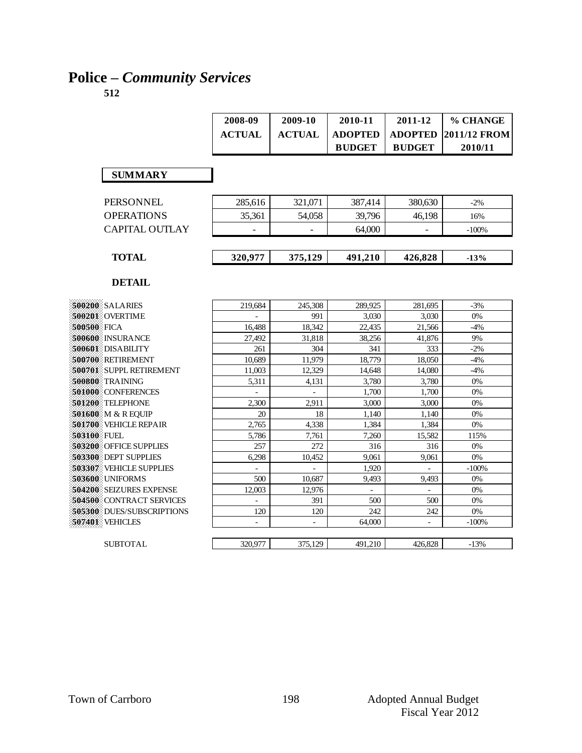# **Police –** *Community Services*

|                                  | 2008-09       | 2009-10                  | 2010-11        | 2011-12                  | % CHANGE     |
|----------------------------------|---------------|--------------------------|----------------|--------------------------|--------------|
|                                  | <b>ACTUAL</b> | <b>ACTUAL</b>            | <b>ADOPTED</b> | <b>ADOPTED</b>           | 2011/12 FROM |
|                                  |               |                          | <b>BUDGET</b>  | <b>BUDGET</b>            | 2010/11      |
|                                  |               |                          |                |                          |              |
|                                  |               |                          |                |                          |              |
| <b>SUMMARY</b>                   |               |                          |                |                          |              |
|                                  |               |                          |                |                          |              |
| PERSONNEL                        | 285,616       | 321,071                  | 387,414        | 380,630                  | $-2%$        |
| <b>OPERATIONS</b>                | 35,361        | 54,058                   | 39,796         | 46,198                   | 16%          |
| <b>CAPITAL OUTLAY</b>            |               |                          | 64,000         |                          | $-100%$      |
|                                  |               |                          |                |                          |              |
|                                  |               |                          |                |                          |              |
| <b>TOTAL</b>                     | 320,977       | 375,129                  | 491,210        | 426,828                  | $-13%$       |
|                                  |               |                          |                |                          |              |
| <b>DETAIL</b>                    |               |                          |                |                          |              |
|                                  |               |                          |                |                          |              |
| <b>500200 SALARIES</b>           | 219,684       | 245,308                  | 289,925        | 281,695                  | $-3%$        |
| 500201 OVERTIME                  |               | 991                      | 3,030          | 3,030                    | 0%           |
| 500500 FICA                      | 16,488        | 18,342                   | 22,435         | 21,566                   | $-4%$        |
| 500600 INSURANCE                 | 27,492        | 31,818                   | 38,256         | 41,876                   | 9%           |
| 500601 DISABILITY                | 261           | 304                      | 341            | 333                      | $-2%$        |
| 500700 RETIREMENT                | 10,689        | 11,979                   | 18,779         | 18,050                   | $-4%$        |
| 500701 SUPPL RETIREMENT          | 11,003        | 12.329                   | 14.648         | 14,080                   | $-4%$        |
| 500800 TRAINING                  | 5,311         | 4,131                    | 3,780          | 3,780                    | 0%           |
| 501000 CONFERENCES               |               |                          | 1,700          | 1,700                    | 0%           |
| 501200: TELEPHONE                | 2,300         | 2,911                    | 3,000          | 3.000                    | 0%           |
| 501600 M & R EQUIP               | 20            | 18                       | 1,140          | 1,140                    | $0\%$        |
| <b>501700</b> VEHICLE REPAIR     | 2,765         | 4,338                    | 1,384          | 1,384                    | 0%           |
| 503100 FUEL                      | 5,786         | 7,761                    | 7,260          | 15,582                   | 115%         |
| <b>503200</b> OFFICE SUPPLIES    | 257           | 272                      | 316            | 316                      | 0%           |
| <b>503300</b> DEPT SUPPLIES      | 6,298         | 10,452                   | 9,061          | 9,061                    | $0\%$        |
| 503307 VEHICLE SUPPLIES          | ÷.            | $\overline{\phantom{a}}$ | 1,920          | $\overline{\phantom{a}}$ | $-100%$      |
| 503600 UNIFORMS                  | 500           | 10,687                   | 9.493          | 9.493                    | $0\%$        |
| 504200 SEIZURES EXPENSE          | 12,003        | 12,976                   |                |                          | 0%           |
| 504500 CONTRACT SERVICES         | $\equiv$      | 391                      | 500            | 500                      | 0%           |
| <b>505300</b> DUES/SUBSCRIPTIONS | 120           | 120                      | 242            | 242                      | 0%           |
| <b>507401 VEHICLES</b>           |               |                          | 64,000         |                          | $-100%$      |
|                                  |               |                          |                |                          |              |
| <b>SUBTOTAL</b>                  | 320,977       | 375,129                  | 491,210        | 426,828                  | $-13%$       |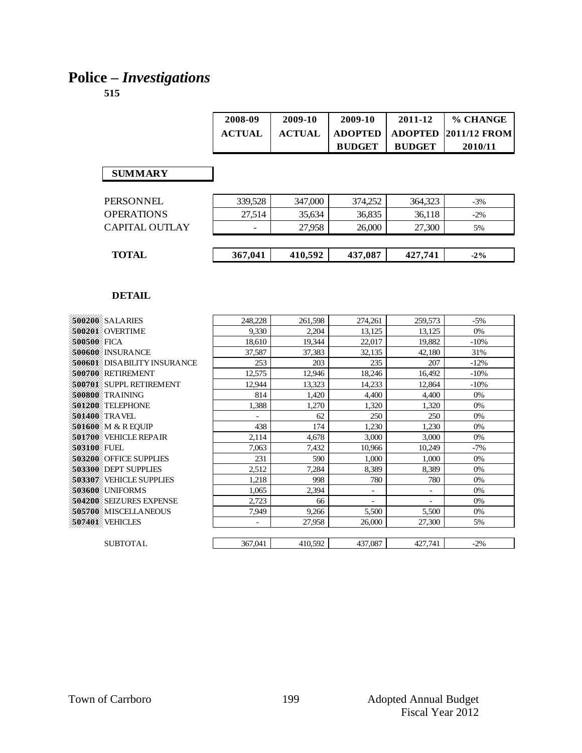# **Police –** *Investigations*

|                       | 2008-09       | 2009-10       | 2009-10        | 2011-12        | % CHANGE            |
|-----------------------|---------------|---------------|----------------|----------------|---------------------|
|                       | <b>ACTUAL</b> | <b>ACTUAL</b> | <b>ADOPTED</b> | <b>ADOPTED</b> | <b>2011/12 FROM</b> |
|                       |               |               | <b>BUDGET</b>  | <b>BUDGET</b>  | 2010/11             |
|                       |               |               |                |                |                     |
| <b>SUMMARY</b>        |               |               |                |                |                     |
|                       |               |               |                |                |                     |
| <b>PERSONNEL</b>      | 339,528       | 347,000       | 374,252        | 364,323        | $-3%$               |
| <b>OPERATIONS</b>     | 27.514        | 35,634        | 36,835         | 36,118         | $-2\%$              |
| <b>CAPITAL OUTLAY</b> |               | 27,958        | 26,000         | 27,300         | 5%                  |
|                       |               |               |                |                |                     |
| <b>TOTAL</b>          | 367,041       | 410,592       | 437,087        | 427,741        | $-2\%$              |
|                       |               |               |                |                |                     |

| 500200 SALARIES                    | 248,228        | 261,598 | 274,261                  | 259,573                  | $-5%$  |
|------------------------------------|----------------|---------|--------------------------|--------------------------|--------|
|                                    |                |         |                          |                          |        |
| 500201 OVERTIME                    | 9.330          | 2,204   | 13,125                   | 13,125                   | 0%     |
| 500500 FICA                        | 18,610         | 19,344  | 22,017                   | 19,882                   | $-10%$ |
| <b>500600</b> INSURANCE            | 37,587         | 37,383  | 32,135                   | 42,180                   | 31%    |
| <b>500601</b> DISABILITY INSURANCE | 253            | 203     | 235                      | 207                      | $-12%$ |
| 500700 RETIREMENT                  | 12,575         | 12,946  | 18,246                   | 16,492                   | $-10%$ |
| 500701 SUPPL RETIREMENT            | 12,944         | 13,323  | 14,233                   | 12,864                   | $-10%$ |
| 500800 TRAINING                    | 814            | 1,420   | 4,400                    | 4,400                    | 0%     |
| 501200 TELEPHONE                   | 1,388          | 1,270   | 1,320                    | 1,320                    | 0%     |
| <b>501400</b> TRAVEL               |                | 62      | 250                      | 250                      | 0%     |
| 501600 M & R EOUIP                 | 438            | 174     | 1,230                    | 1,230                    | 0%     |
| <b>501700</b> VEHICLE REPAIR       | 2,114          | 4,678   | 3,000                    | 3,000                    | 0%     |
| 503100 FUEL                        | 7,063          | 7,432   | 10,966                   | 10,249                   | $-7%$  |
| 503200 OFFICE SUPPLIES             | 231            | 590     | 1,000                    | 1,000                    | 0%     |
| 503300 DEPT SUPPLIES               | 2,512          | 7,284   | 8,389                    | 8,389                    | 0%     |
| 503307 VEHICLE SUPPLIES            | 1,218          | 998     | 780                      | 780                      | 0%     |
| 503600 UNIFORMS                    | 1,065          | 2,394   | $\overline{\phantom{a}}$ | $\overline{\phantom{a}}$ | 0%     |
| 504200 SEIZURES EXPENSE            | 2,723          | 66      | $\overline{\phantom{a}}$ | ۳                        | 0%     |
| 505700 MISCELLANEOUS               | 7,949          | 9,266   | 5,500                    | 5,500                    | 0%     |
| <b>507401: VEHICLES</b>            | $\overline{a}$ | 27,958  | 26,000                   | 27,300                   | 5%     |
|                                    |                |         |                          |                          |        |
| <b>SUBTOTAL</b>                    | 367,041        | 410,592 | 437,087                  | 427,741                  | $-2\%$ |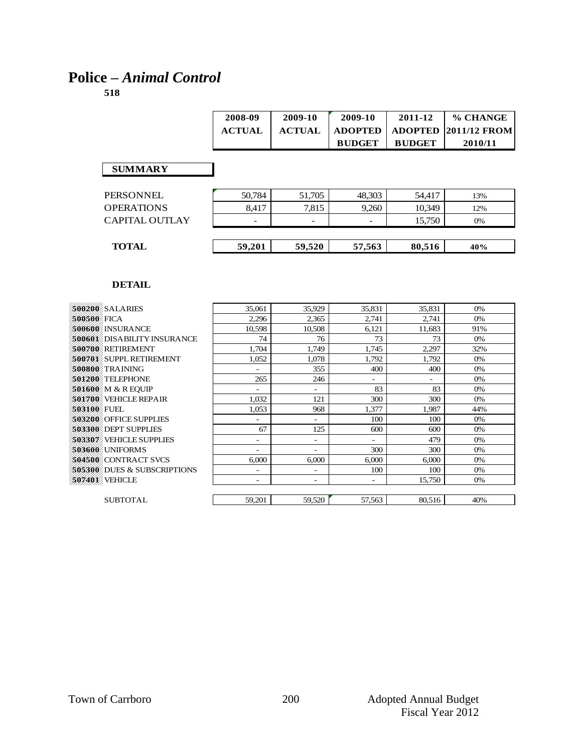# **Police –** *Animal Control*

| 2008-09       | 2009-10       | 2009-10        | 2011-12       | % CHANGE                         |
|---------------|---------------|----------------|---------------|----------------------------------|
| <b>ACTUAL</b> | <b>ACTUAL</b> | <b>ADOPTED</b> |               | $\pm$ ADOPTED $\pm$ 2011/12 FROM |
|               |               | <b>BUDGET</b>  | <b>BUDGET</b> | 2010/11                          |

#### **SUMMARY**

| <b>OPERATIONS</b>     | 8.417                    | 7.815                    | 9,260                    | 10.349 | 12% |
|-----------------------|--------------------------|--------------------------|--------------------------|--------|-----|
| <b>CAPITAL OUTLAY</b> | $\overline{\phantom{0}}$ | $\overline{\phantom{0}}$ | $\overline{\phantom{0}}$ | 15.750 | 0%  |
| <b>TOTAL</b>          | 59,201                   | 59,520                   | 57,563                   | 80,516 | 40% |

|        |                          |        |        | 0%     |
|--------|--------------------------|--------|--------|--------|
| 2,296  | 2,365                    | 2,741  | 2,741  | 0%     |
| 10,598 | 10,508                   | 6,121  | 11,683 | 91%    |
| 74     | 76                       | 73     | 73     | 0%     |
| 1.704  | 1,749                    | 1,745  | 2,297  | 32%    |
| 1,052  | 1,078                    | 1,792  | 1,792  | 0%     |
|        | 355                      | 400    | 400    | 0%     |
| 265    | 246                      | ۰      | ٠      | 0%     |
| ۰      | Ξ.                       | 83     | 83     | 0%     |
| 1,032  | 121                      | 300    | 300    | 0%     |
| 1,053  | 968                      | 1,377  | 1,987  | 44%    |
|        | $\overline{\phantom{0}}$ | 100    | 100    | 0%     |
| 67     | 125                      | 600    | 600    | 0%     |
| ۰.     | ٠                        | -      | 479    | 0%     |
|        | ÷                        | 300    | 300    | 0%     |
| 6.000  | 6,000                    | 6,000  | 6,000  | 0%     |
| ۰      | ۰                        | 100    | 100    | 0%     |
| ۰      | ۰                        | ۰      | 15,750 | 0%     |
|        |                          |        |        |        |
| 59,201 | 59,520                   | 57,563 | 80,516 | 40%    |
|        | 35,061                   | 35,929 | 35,831 | 35,831 |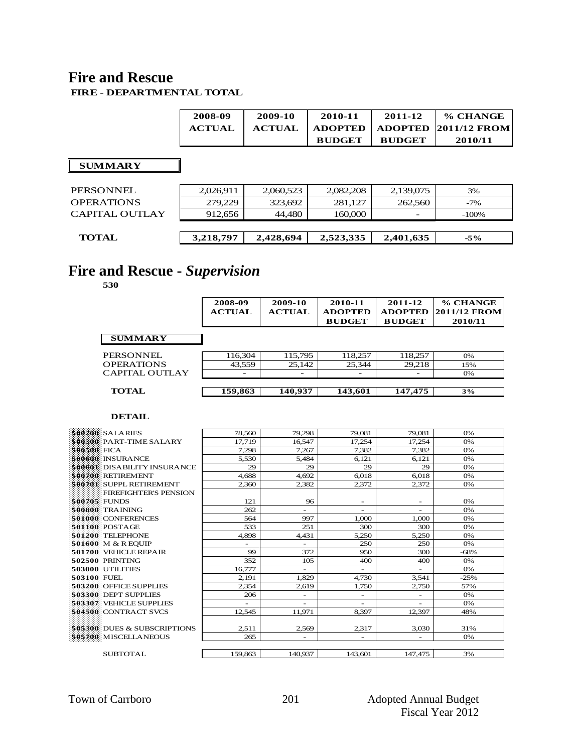#### **Fire and Rescue FIRE - DEPARTMENTAL TOTAL**

|                       | 2008-09<br><b>ACTUAL</b> | 2009-10<br><b>ACTUAL</b> | 2010-11<br><b>ADOPTED</b><br><b>BUDGET</b> | 2011-12<br><b>ADOPTED</b><br><b>BUDGET</b> | % CHANGE<br><b>2011/12 FROM</b><br>2010/11 |
|-----------------------|--------------------------|--------------------------|--------------------------------------------|--------------------------------------------|--------------------------------------------|
| <b>SUMMARY</b>        |                          |                          |                                            |                                            |                                            |
| <b>PERSONNEL</b>      | 2,026,911                | 2,060,523                | 2,082,208                                  | 2,139,075                                  | 3%                                         |
| <b>OPERATIONS</b>     | 279,229                  | 323,692                  | 281,127                                    | 262,560                                    | $-7%$                                      |
| <b>CAPITAL OUTLAY</b> | 912,656                  | 44,480                   | 160,000                                    |                                            | $-100%$                                    |
|                       |                          |                          |                                            |                                            |                                            |
| <b>TOTAL</b>          | 3,218,797                | 2,428,694                | 2,523,335                                  | 2,401,635                                  | $-5\%$                                     |

# **Fire and Rescue -** *Supervision*

**530**

|                       | 2008-09<br><b>ACTUAL</b> | 2009-10<br><b>ACTUAL</b> | 2010-11<br><b>ADOPTED</b><br><b>BUDGET</b> | 2011-12<br><b>ADOPTED</b><br><b>BUDGET</b> | % CHANGE<br>2011/12 FROM<br>2010/11 |
|-----------------------|--------------------------|--------------------------|--------------------------------------------|--------------------------------------------|-------------------------------------|
| <b>SUMMARY</b>        |                          |                          |                                            |                                            |                                     |
| PERSONNEL             | 116,304                  | 115,795                  | 118,257                                    | 118,257                                    | 0%                                  |
| <b>OPERATIONS</b>     | 43,559                   | 25,142                   | 25,344                                     | 29,218                                     | 15%                                 |
| <b>CAPITAL OUTLAY</b> |                          |                          |                                            |                                            | 0%                                  |
| <b>TOTAL</b>          | 159,863                  | 140,937                  | 143,601                                    | 147,475                                    | 3%                                  |

| 500200 SALARIES              | 78.560                   | 79,298                   | 79,081                   | 79.081                   | 0%     |
|------------------------------|--------------------------|--------------------------|--------------------------|--------------------------|--------|
| 500300 PART-TIME SALARY      | 17.719                   | 16.547                   | 17,254                   | 17,254                   | 0%     |
| <b>S00S00 FICA</b>           | 7.298                    | 7.267                    | 7,382                    | 7.382                    | 0%     |
| 500600 INSURANCE             | 5.530                    | 5.484                    | 6.121                    | 6.121                    | 0%     |
| 500601 DISABILITY INSURANCE  | 29                       | 29                       | 29                       | 29                       | 0%     |
| 500700 RETIREMENT            | 4,688                    | 4,692                    | 6,018                    | 6,018                    | 0%     |
| 500701 SUPPL RETIREMENT      | 2,360                    | 2.382                    | 2,372                    | 2,372                    | 0%     |
| <b>FIREFIGHTER'S PENSION</b> |                          |                          |                          |                          |        |
| 500705. FUNDS                | 121                      | 96                       | $\overline{\phantom{a}}$ | $\overline{\phantom{a}}$ | 0%     |
| 500800 TRAINING              | 262                      |                          |                          |                          | 0%     |
| 501000 CONFERENCES           | 564                      | 997                      | 1.000                    | 1.000                    | 0%     |
| 501100 POSTAGE               | 533                      | 251                      | 300                      | 300                      | 0%     |
| 501200 TELEPHONE             | 4,898                    | 4,431                    | 5,250                    | 5,250                    | 0%     |
| 501600 M & R EOUIP           | $\overline{\phantom{0}}$ |                          | 250                      | 250                      | 0%     |
| 501700: VEHICLE REPAIR       | 99                       | 372                      | 950                      | 300                      | $-68%$ |
| 502500 PRINTING              | 352                      | 105                      | 400                      | 400                      | 0%     |
| <b>503000: UTILITIES</b>     | 16.777                   | $\overline{\phantom{a}}$ | $\overline{\phantom{a}}$ | $\overline{\phantom{a}}$ | 0%     |
| 503100 FUEL                  | 2,191                    | 1,829                    | 4,730                    | 3,541                    | $-25%$ |
| 503200 OFFICE SUPPLIES       | 2.354                    | 2.619                    | 1.750                    | 2.750                    | 57%    |
| 503300 DEPT SUPPLIES         | 206                      | $\overline{\phantom{a}}$ | $\overline{\phantom{a}}$ |                          | 0%     |
| 503307 VEHICLE SUPPLIES      |                          | $\sim$                   | $\overline{\phantom{a}}$ | $\sim$                   | 0%     |
| 504500 CONTRACT SVCS         | 12,545                   | 11,971                   | 8,397                    | 12,397                   | 48%    |
|                              |                          |                          |                          |                          |        |
| 505300 DUES & SUBSCRIPTIONS  | 2.511                    | 2,569                    | 2,317                    | 3,030                    | 31%    |
| 505700 MISCELLANEOUS         | 265                      | $\sim$                   | $\overline{\phantom{a}}$ | $\bar{a}$                | 0%     |
|                              |                          |                          |                          |                          |        |
| <b>SUBTOTAL</b>              | 159,863                  | 140,937                  | 143.601                  | 147,475                  | 3%     |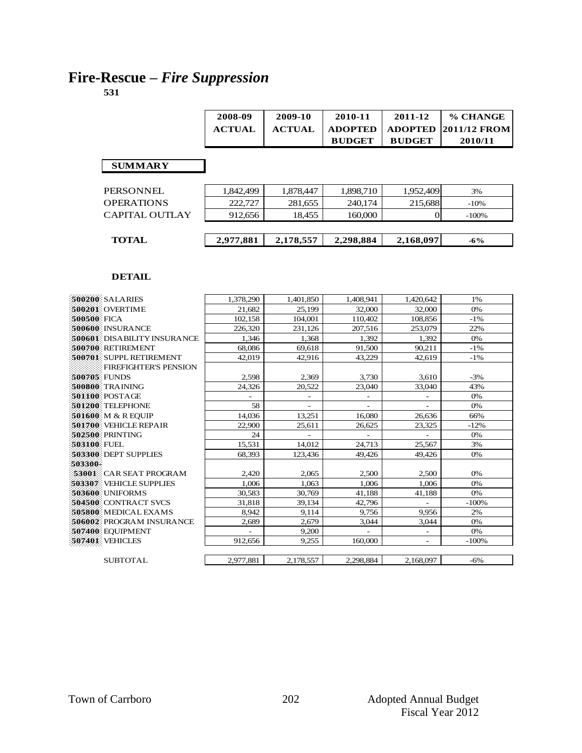# **Fire-Rescue –** *Fire Suppression*

|                   | 2008-09       | 2009-10       | 2010-11        | 2011-12        | % CHANGE     |
|-------------------|---------------|---------------|----------------|----------------|--------------|
|                   | <b>ACTUAL</b> | <b>ACTUAL</b> | <b>ADOPTED</b> | <b>ADOPTED</b> | 2011/12 FROM |
|                   |               |               | <b>BUDGET</b>  | <b>BUDGET</b>  | 2010/11      |
|                   |               |               |                |                |              |
| <b>SUMMARY</b>    |               |               |                |                |              |
|                   |               |               |                |                |              |
| <b>PERSONNEL</b>  | 1,842,499     | 1,878,447     | 1,898,710      | 1,952,409      | 3%           |
| <b>OPERATIONS</b> | 222,727       | 281,655       | 240,174        | 215,688        | $-10%$       |
| CAPITAL OUTLAY    | 912,656       | 18,455        | 160,000        |                | $-100%$      |
|                   |               |               |                |                |              |
| <b>TOTAL</b>      | 2,977,881     | 2,178,557     | 2,298,884      | 2,168,097      | $-6\%$       |

| 500200 SALARIES                 | 1,378,290                | 1,401,850                | 1,408,941 | 1,420,642                | 1%      |
|---------------------------------|--------------------------|--------------------------|-----------|--------------------------|---------|
| 500201 OVERTIME                 | 21,682                   | 25,199                   | 32,000    | 32,000                   | 0%      |
| 500500 FICA                     | 102,158                  | 104,001                  | 110,402   | 108,856                  | $-1\%$  |
| 500600 INSURANCE                | 226,320                  | 231,126                  | 207,516   | 253,079                  | 22%     |
| 500601 DISABILITY INSURANCE     | 1,346                    | 1,368                    | 1,392     | 1,392                    | 0%      |
| 500700 RETIREMENT               | 68,086                   | 69,618                   | 91,500    | 90,211                   | $-1\%$  |
| 500701 SUPPL RETIREMENT         | 42.019                   | 42,916                   | 43,229    | 42,619                   | $-1\%$  |
| <b>FIREFIGHTER'S PENSION</b>    |                          |                          |           |                          |         |
| 500705 FUNDS                    | 2,598                    | 2,369                    | 3,730     | 3,610                    | $-3%$   |
| <b>500800 TRAINING</b>          | 24.326                   | 20,522                   | 23,040    | 33.040                   | 43%     |
| 501100 POSTAGE                  |                          | $\overline{\phantom{0}}$ |           |                          | 0%      |
| 501200 TELEPHONE                | 58                       |                          |           |                          | 0%      |
| <b>501600 M &amp; R EOUIP</b>   | 14,036                   | 13,251                   | 16,080    | 26,636                   | 66%     |
| 501700 VEHICLE REPAIR           | 22,900                   | 25,611                   | 26,625    | 23,325                   | $-12%$  |
| 502500 PRINTING                 | 24                       |                          |           |                          | 0%      |
| -503100 FUEL                    | 15,531                   | 14.012                   | 24.713    | 25,567                   | 3%      |
| 503300 DEPT SUPPLIES            | 68,393                   | 123,436                  | 49,426    | 49,426                   | 0%      |
| 503300                          |                          |                          |           |                          |         |
| <b>53001 CAR SEAT PROGRAM</b>   | 2,420                    | 2,065                    | 2,500     | 2,500                    | 0%      |
| <b>503307: VEHICLE SUPPLIES</b> | 1.006                    | 1.063                    | 1.006     | 1.006                    | 0%      |
| 503600 UNIFORMS                 | 30,583                   | 30,769                   | 41,188    | 41,188                   | 0%      |
| 504500 CONTRACT SVCS            | 31,818                   | 39,134                   | 42,796    | $\overline{a}$           | $-100%$ |
| 505800 MEDICAL EXAMS            | 8.942                    | 9,114                    | 9,756     | 9,956                    | 2%      |
| 506002 PROGRAM INSURANCE        | 2,689                    | 2,679                    | 3,044     | 3,044                    | 0%      |
| 507400 EQUIPMENT                | $\overline{\phantom{a}}$ | 9,200                    |           | $\overline{\phantom{0}}$ | 0%      |
| 507401 VEHICLES                 | 912,656                  | 9,255                    | 160,000   | $\qquad \qquad -$        | $-100%$ |
|                                 |                          |                          |           |                          |         |
| <b>SUBTOTAL</b>                 | 2.977.881                | 2,178,557                | 2,298,884 | 2,168,097                | $-6\%$  |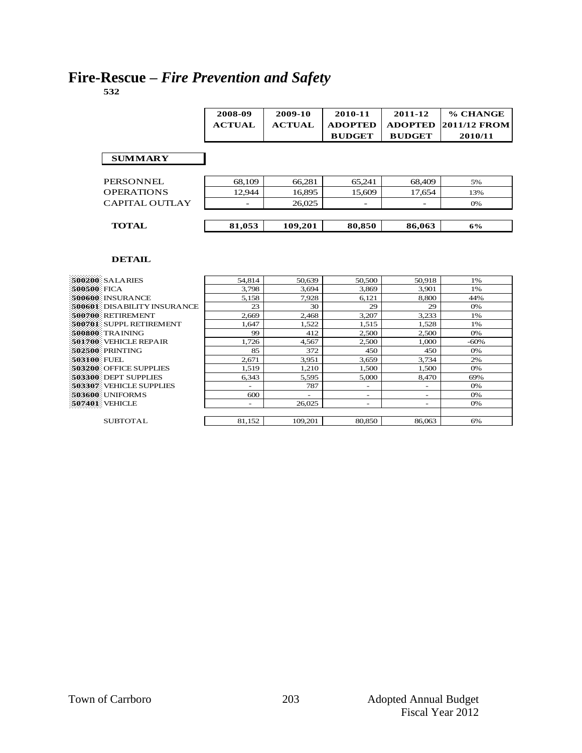# **Fire-Rescue –** *Fire Prevention and Safety*

**532**

|                   | 2008-09<br><b>ACTUAL</b> | 2009-10<br><b>ACTUAL</b> | 2010-11<br><b>ADOPTED</b><br><b>BUDGET</b> | 2011-12<br><b>ADOPTED</b><br><b>BUDGET</b> | % CHANGE<br><b>2011/12 FROM</b><br>2010/11 |
|-------------------|--------------------------|--------------------------|--------------------------------------------|--------------------------------------------|--------------------------------------------|
| <b>SUMMARY</b>    |                          |                          |                                            |                                            |                                            |
| PERSONNEL         | 68,109                   | 66,281                   | 65,241                                     | 68,409                                     | 5%                                         |
| <b>OPERATIONS</b> | 12.944                   | 16,895                   | 15.609                                     | 17.654                                     | 13%                                        |
| CAPITAL OUTLAY    |                          | 26,025                   |                                            |                                            | 0%                                         |
| <b>TOTAL</b>      | 81,053                   | 109,201                  | 80,850                                     | 86,063                                     | 6%                                         |

| 500200 SALARIES                    | 54.814                   | 50,639                   | 50,500                   | 50,918                   | 1%     |
|------------------------------------|--------------------------|--------------------------|--------------------------|--------------------------|--------|
| 500500 FICA                        | 3.798                    | 3.694                    | 3.869                    | 3.901                    | 1%     |
| 500600 INSURANCE                   | 5,158                    | 7.928                    | 6,121                    | 8.800                    | 44%    |
| <b>500601 DISABILITY INSURANCE</b> | 23                       | 30                       | 29                       | 29                       | 0%     |
| 500700 RETIREMENT                  | 2.669                    | 2,468                    | 3,207                    | 3,233                    | 1%     |
| 500701 SUPPL RETIREMENT            | 1,647                    | 1,522                    | 1.515                    | 1,528                    | 1%     |
| 500800 TRAINING                    | 99                       | 412                      | 2,500                    | 2,500                    | 0%     |
| 501700 VEHICLE REPAIR              | 1.726                    | 4,567                    | 2.500                    | 1.000                    | $-60%$ |
| 502500 PRINTING                    | 85                       | 372                      | 450                      | 450                      | 0%     |
| <b>503100 FUEL</b>                 | 2,671                    | 3,951                    | 3,659                    | 3,734                    | 2%     |
| 503200 OFFICE SUPPLIES             | 1,519                    | 1,210                    | 1,500                    | 1,500                    | 0%     |
| 503300 DEPT SUPPLIES               | 6,343                    | 5,595                    | 5,000                    | 8,470                    | 69%    |
| <b>503307 VEHICLE SUPPLIES</b>     | $\overline{\phantom{0}}$ | 787                      | $\overline{\phantom{0}}$ | $\overline{\phantom{0}}$ | 0%     |
| 503600 UNIFORMS                    | 600                      | $\overline{\phantom{a}}$ | $\overline{\phantom{a}}$ | -                        | 0%     |
| <b>507401 VEHICLE</b>              | -                        | 26,025                   | $\overline{\phantom{a}}$ | -                        | 0%     |
|                                    |                          |                          |                          |                          |        |
| <b>SUBTOTAL</b>                    | 81,152                   | 109,201                  | 80,850                   | 86,063                   | 6%     |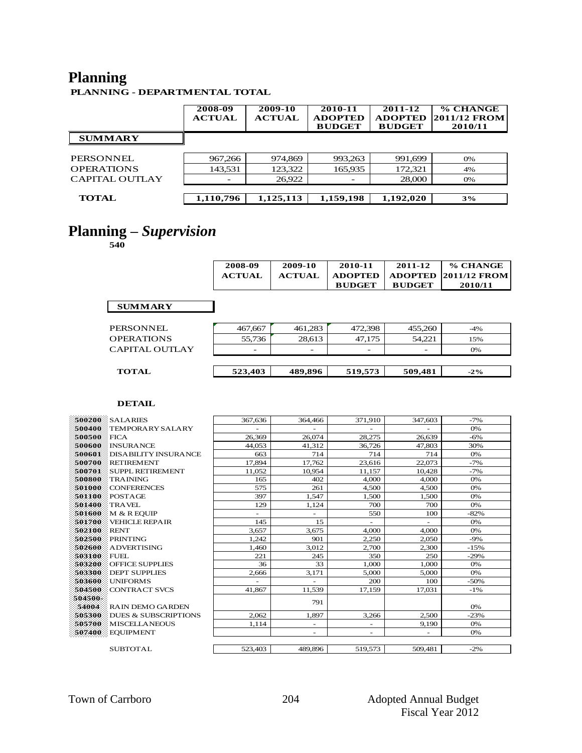# **Planning**

**PLANNING - DEPARTMENTAL TOTAL**

|                   | 2008-09<br><b>ACTUAL</b> | 2009-10<br><b>ACTUAL</b> | 2010-11<br><b>ADOPTED</b><br><b>BUDGET</b> | 2011-12<br><b>ADOPTED</b><br><b>BUDGET</b> | % CHANGE<br><b>2011/12 FROM</b><br>2010/11 |
|-------------------|--------------------------|--------------------------|--------------------------------------------|--------------------------------------------|--------------------------------------------|
| <b>SUMMARY</b>    |                          |                          |                                            |                                            |                                            |
| PERSONNEL         | 967,266                  | 974,869                  | 993,263                                    | 991,699                                    | 0%                                         |
| <b>OPERATIONS</b> | 143,531                  | 123,322                  | 165,935                                    | 172,321                                    | 4%                                         |
| CAPITAL OUTLAY    | -                        | 26,922                   | $\overline{\phantom{0}}$                   | 28,000                                     | 0%                                         |
| <b>TOTAL</b>      | 1,110,796                | 1,125,113                | 1,159,198                                  | 1,192,020                                  | 3%                                         |

### **Planning –** *Supervision*

**540**

| 2008-09       | 2009-10       | 2010-11       | 2011-12       | % CHANGE                        |
|---------------|---------------|---------------|---------------|---------------------------------|
| <b>ACTUAL</b> | <b>ACTUAL</b> |               |               | ADOPTED   ADOPTED  2011/12 FROM |
|               |               | <b>BUDGET</b> | <b>BUDGET</b> | 2010/11                         |

#### **SUMMARY**

| <b>TOTAL</b>          | 523,403 | 489,896 | 519,573 | 509,481 | $-2\%$ |
|-----------------------|---------|---------|---------|---------|--------|
| <b>CAPITAL OUTLAY</b> | -       | -       |         | -       | 0%     |
| <b>OPERATIONS</b>     | 55.736  | 28.613  | 47.175  | 54.221  | 15%    |
| PERSONNEL             | 467,667 | 461.283 | 472.398 | 455.260 | $-4\%$ |

| 500200  | <b>SALARIES</b>                 | 367,636 | 364,466                  | 371,910                  | 347,603 | $-7%$  |
|---------|---------------------------------|---------|--------------------------|--------------------------|---------|--------|
| 500400  | <b>TEMPORARY SALARY</b>         |         |                          | ٠                        |         | 0%     |
| 500500  | FICA                            | 26,369  | 26,074                   | 28,275                   | 26.639  | $-6%$  |
| 500600  | <b>INSURANCE</b>                | 44,053  | 41,312                   | 36,726                   | 47,803  | 30%    |
| 500601  | <b>DISABILITY INSURANCE</b>     | 663     | 714                      | 714                      | 714     | 0%     |
| 500700  | RETIREMENT                      | 17,894  | 17,762                   | 23,616                   | 22,073  | $-7%$  |
| 500701  | <b>SUPPL RETIREMENT</b>         | 11.052  | 10.954                   | 11,157                   | 10,428  | $-7%$  |
| 500800  | <b>TRAINING</b>                 | 165     | 402                      | 4,000                    | 4.000   | 0%     |
| 501000  | <b>CONFERENCES</b>              | 575     | 261                      | 4.500                    | 4.500   | 0%     |
| 501100  | POSTAGE                         | 397     | 1,547                    | 1,500                    | 1,500   | 0%     |
| 501400  | <b>TRAVEL</b>                   | 129     | 1,124                    | 700                      | 700     | 0%     |
| 501600  | M & R EOUIP                     | ÷.      |                          | 550                      | 100     | $-82%$ |
| 501700  | <b>VEHICLE REPAIR</b>           | 145     | 15                       | $\overline{\phantom{0}}$ |         | 0%     |
| 502100  | RENT                            | 3,657   | 3,675                    | 4.000                    | 4,000   | 0%     |
| 502500  | <b>PRINTING</b>                 | 1,242   | 901                      | 2,250                    | 2,050   | $-9%$  |
| 502600  | ADVERTISING                     | 1,460   | 3.012                    | 2,700                    | 2.300   | $-15%$ |
| 503100  | FUEL                            | 221     | 245                      | 350                      | 250     | $-29%$ |
| 503200  | <b>OFFICE SUPPLIES</b>          | 36      | 33                       | 1.000                    | 1.000   | 0%     |
| 503300  | <b>DEPT SUPPLIES</b>            | 2,666   | 3,171                    | 5,000                    | 5,000   | 0%     |
| 503600  | UNIFORMS                        |         |                          | 200                      | 100     | $-50%$ |
| 504500  | <b>CONTRACT SVCS</b>            | 41,867  | 11.539                   | 17.159                   | 17.031  | $-1\%$ |
| 504500- |                                 |         | 791                      |                          |         |        |
| 54004   | <b>RAIN DEMO GARDEN</b>         |         |                          |                          |         | 0%     |
| 505300  | <b>DUES &amp; SUBSCRIPTIONS</b> | 2,062   | 1.897                    | 3,266                    | 2.500   | $-23%$ |
| 505700  | MISCELLANEOUS                   | 1,114   | $\overline{\phantom{0}}$ | $\overline{\phantom{0}}$ | 9,190   | 0%     |
|         | 507400 EQUIPMENT                |         | $\overline{\phantom{0}}$ | $\overline{\phantom{0}}$ |         | 0%     |
|         |                                 |         |                          |                          |         |        |
|         | <b>SUBTOTAL</b>                 | 523,403 | 489,896                  | 519,573                  | 509.481 | $-2%$  |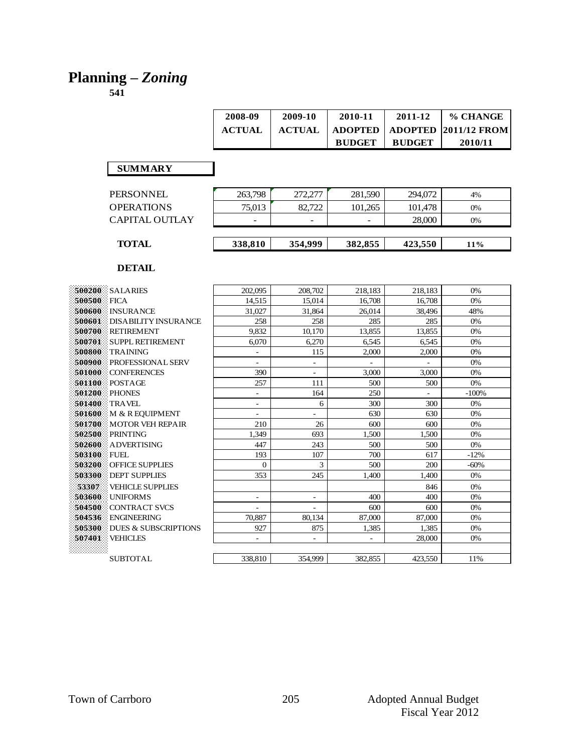### **Planning –** *Zoning*

| 2008-09       | 2009-10       | 2010-11        | 2011-12       | % CHANGE                           |
|---------------|---------------|----------------|---------------|------------------------------------|
| <b>ACTUAL</b> | <b>ACTUAL</b> | <b>ADOPTED</b> |               | $\mid$ ADOPTED $\mid$ 2011/12 FROM |
|               |               | <b>BUDGET</b>  | <b>BUDGET</b> | 2010/11                            |

#### **SUMMARY**

| CAPITAL OUTLAY    | -       | $\overline{\phantom{a}}$ | -       | 28,000  | 0% |
|-------------------|---------|--------------------------|---------|---------|----|
| <b>OPERATIONS</b> | 75.013  | 82.722                   | 101.265 | 101.478 | 0% |
| <b>PERSONNEL</b>  | 263,798 | 272,277                  | 281.590 | 294,072 | 4% |

|             | 500200 SALARIES                 | 202,095                  | 208,702                  | 218,183 | 218,183 | 0%      |
|-------------|---------------------------------|--------------------------|--------------------------|---------|---------|---------|
| 500500      | FICA                            | 14.515                   | 15.014                   | 16.708  | 16.708  | 0%      |
|             | 500600 NSURANCE                 | 31.027                   | 31.864                   | 26,014  | 38,496  | 48%     |
|             | 500601 DISABILITY INSURANCE     | 258                      | 258                      | 285     | 285     | 0%      |
|             | 500700 RETIREMENT               | 9.832                    | 10.170                   | 13.855  | 13.855  | 0%      |
|             | 500701 SUPPL RETIREMENT         | 6.070                    | 6,270                    | 6,545   | 6,545   | 0%      |
|             | 500800 TRAINING                 | $\overline{\phantom{a}}$ | 115                      | 2,000   | 2,000   | 0%      |
|             | <b>500900</b> PROFESSIONAL SERV | $\overline{\phantom{a}}$ | $\overline{\phantom{a}}$ |         |         | 0%      |
|             | 501000 CONFERENCES              | 390                      | $\overline{\phantom{a}}$ | 3,000   | 3,000   | 0%      |
| 501100      | POSTAGE                         | 257                      | 111                      | 500     | 500     | 0%      |
| 501200      | <b>PHONES</b>                   | $\overline{\phantom{a}}$ | 164                      | 250     |         | $-100%$ |
|             | <b>501400</b> TRAVEL            | $\overline{\phantom{a}}$ | 6                        | 300     | 300     | 0%      |
|             | 501600 M & R EQUIPMENT          | $\overline{\phantom{a}}$ | $\overline{\phantom{0}}$ | 630     | 630     | 0%      |
|             | 501700 MOTOR VEH REPAIR         | 210                      | 26                       | 600     | 600     | 0%      |
|             | 502500 PRINTING                 | 1.349                    | 693                      | 1.500   | 1.500   | 0%      |
|             | 502600 ADVERTISING              | 447                      | 243                      | 500     | 500     | 0%      |
| 503100 FUEL |                                 | 193                      | 107                      | 700     | 617     | $-12%$  |
| 503200      | OFFICE SUPPLIES                 | $\mathbf{0}$             | 3                        | 500     | 200     | $-60%$  |
| 503300      | <b>DEPT SUPPLIES</b>            | 353                      | 245                      | 1.400   | 1.400   | 0%      |
| 53307       | <b>VEHICLE SUPPLIES</b>         |                          |                          |         | 846     | 0%      |
|             | 503600 UNIFORMS                 | $\overline{\phantom{a}}$ | $\overline{\phantom{a}}$ | 400     | 400     | 0%      |
|             | 504500 CONTRACT SVCS            | ÷                        | $\overline{\phantom{a}}$ | 600     | 600     | 0%      |
| 504536      | <b>ENGINEERING</b>              | 70.887                   | 80.134                   | 87,000  | 87,000  | 0%      |
| 505300      | <b>DUES &amp; SUBSCRIPTIONS</b> | 927                      | 875                      | 1,385   | 1,385   | 0%      |
| 507401      | <b>VEHICLES</b>                 | $\overline{\phantom{a}}$ | $\overline{\phantom{a}}$ | $\sim$  | 28,000  | 0%      |
| *****       |                                 |                          |                          |         |         |         |
|             | <b>SUBTOTAL</b>                 | 338,810                  | 354,999                  | 382,855 | 423,550 | 11%     |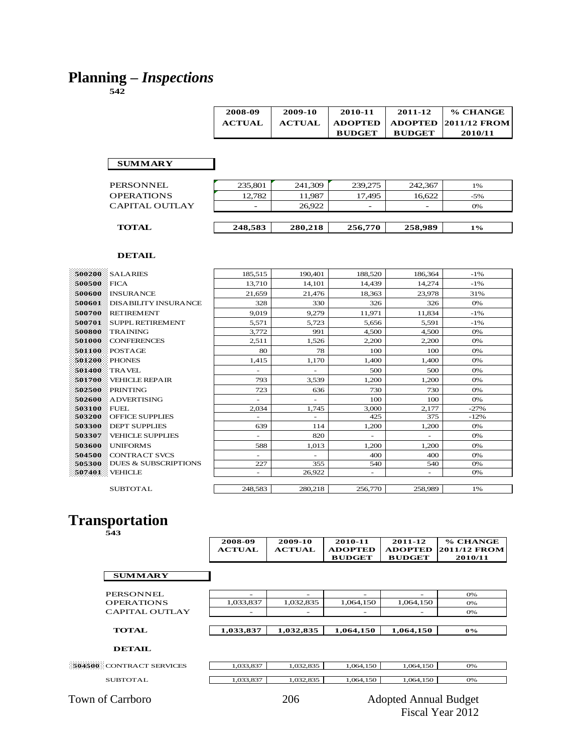### **Planning –** *Inspections*

**542**

| 2008-09       | 2009-10       | 2010-11       | 2011-12       | % CHANGE                                  |
|---------------|---------------|---------------|---------------|-------------------------------------------|
| <b>ACTUAL</b> | <b>ACTUAL</b> | ADOPTED       |               | $\mid$ ADOPTED $\mid$ 2011/12 FROM $\mid$ |
|               |               | <b>BUDGET</b> | <b>BUDGET</b> | 2010/11                                   |

#### **SUMMARY**

| <b>PERSONNEL</b>      | 235,801 | 241,309 | 239,275 | 242,367 | 1%    |
|-----------------------|---------|---------|---------|---------|-------|
| <b>OPERATIONS</b>     | 12,782  | 11,987  | 17.495  | 16.622  | $-5%$ |
| <b>CAPITAL OUTLAY</b> |         | 26.922  |         |         | 0%    |
|                       |         |         |         |         |       |
| <b>TOTAL</b>          | 248,583 | 280,218 | 256,770 | 258,989 | 1%    |
|                       |         |         |         |         |       |

#### **DETAIL**

|             | <b>500200 SALARIES</b>       | 185.515                  | 190.401                  | 188,520                  | 186,364 | $-1\%$ |
|-------------|------------------------------|--------------------------|--------------------------|--------------------------|---------|--------|
| 500500 FICA |                              | 13.710                   | 14.101                   | 14.439                   | 14.274  | $-1\%$ |
|             | 500600 NSURANCE              | 21.659                   | 21.476                   | 18,363                   | 23,978  | 31%    |
| 500601      | <b>EDISABILITY INSURANCE</b> | 328                      | 330                      | 326                      | 326     | 0%     |
| 500700      | <b>RETIREMENT</b>            | 9.019                    | 9.279                    | 11.971                   | 11,834  | $-1\%$ |
| 500701      | <b>SUPPL RETIREMENT</b>      | 5.571                    | 5.723                    | 5.656                    | 5.591   | $-1\%$ |
| 500800      | <b>TRAINING</b>              | 3.772                    | 991                      | 4.500                    | 4.500   | 0%     |
| 501000      | <b>CONFERENCES</b>           | 2,511                    | 1,526                    | 2,200                    | 2,200   | 0%     |
| 501100      | POSTAGE                      | 80                       | 78                       | 100                      | 100     | 0%     |
| 501200      | PHONES                       | 1.415                    | 1.170                    | 1.400                    | 1.400   | 0%     |
| 501400      | TRAVEL                       | $\overline{\phantom{0}}$ | ÷                        | 500                      | 500     | O%     |
| 501700      | <b>VEHICLE REPAIR</b>        | 793                      | 3,539                    | 1.200                    | 1.200   | 0%     |
|             | <b>502500 PRINTING</b>       | 723                      | 636                      | 730                      | 730     | 0%     |
| 502600      | <b>ADVERTISING</b>           | $\overline{\phantom{0}}$ | $\overline{\phantom{a}}$ | 100                      | 100     | 0%     |
| 503100 FUEL |                              | 2.034                    | 1.745                    | 3.000                    | 2.177   | $-27%$ |
|             | 503200 OFFICE SUPPLIES       | $\overline{\phantom{0}}$ | $\sim$                   | 425                      | 375     | $-12%$ |
|             | 503300 DEPT SUPPLIES         | 639                      | 114                      | 1,200                    | 1.200   | 0%     |
| 503307      | VEHICLE SUPPLIES             | ٠                        | 820                      | $\overline{\phantom{a}}$ | ۰       | 0%     |
|             | 503600 UNIFORMS              | 588                      | 1.013                    | 1,200                    | 1.200   | 0%     |
|             | 504500 CONTRACT SVCS         | $\overline{\phantom{0}}$ | ٠                        | 400                      | 400     | 0%     |
|             | 505300 DUES & SUBSCRIPTIONS  | 227                      | 355                      | 540                      | 540     | 0%     |
|             | 507401 VEHICLE               | ٠.                       | 26,922                   | $\overline{\phantom{a}}$ | -       | 0%     |
|             |                              |                          |                          |                          |         |        |
|             | <b>SUBTOTAL</b>              | 248.583                  | 280,218                  | 256,770                  | 258,989 | 1%     |

### **Transportation**

| ł<br>۰,<br>۰,<br>۰.<br>× |  |
|--------------------------|--|

|                                 | 2008-09<br><b>ACTUAL</b> | 2009-10<br><b>ACTUAL</b> | 2010-11<br><b>ADOPTED</b><br><b>BUDGET</b> | 2011-12<br><b>ADOPTED</b><br><b>BUDGET</b> | % CHANGE<br>2011/12 FROM<br>2010/11 |
|---------------------------------|--------------------------|--------------------------|--------------------------------------------|--------------------------------------------|-------------------------------------|
| <b>SUMMARY</b>                  |                          |                          |                                            |                                            |                                     |
| <b>PERSONNEL</b>                |                          |                          | -                                          |                                            | 0%                                  |
| <b>OPERATIONS</b>               | 1,033,837                | 1,032,835                | 1,064,150                                  | 1,064,150                                  | 0%                                  |
| CAPITAL OUTLAY                  |                          |                          |                                            |                                            | 0%                                  |
| <b>TOTAL</b>                    | 1,033,837                | 1,032,835                | 1,064,150                                  | 1,064,150                                  | $0\%$                               |
| <b>DETAIL</b>                   |                          |                          |                                            |                                            |                                     |
| <b>504500</b> CONTRACT SERVICES | 1.033.837                | 1.032.835                | 1.064.150                                  | 1.064.150                                  | 0%                                  |

 ${\bf SUBTOTAL}$ 

| $\Omega$<br>1,0 <i>00,001</i> | $\Omega$<br>$\sim$<br>1,002,000 | 1,064,150 | $150-$<br>1,064<br>ں بن | 0% |
|-------------------------------|---------------------------------|-----------|-------------------------|----|
|                               |                                 |           |                         |    |
| $\Omega$<br>1,055,657         | 1,0 <i>02,000</i>               | 1,064,150 | 1,064,150               | 0% |
|                               |                                 |           |                         |    |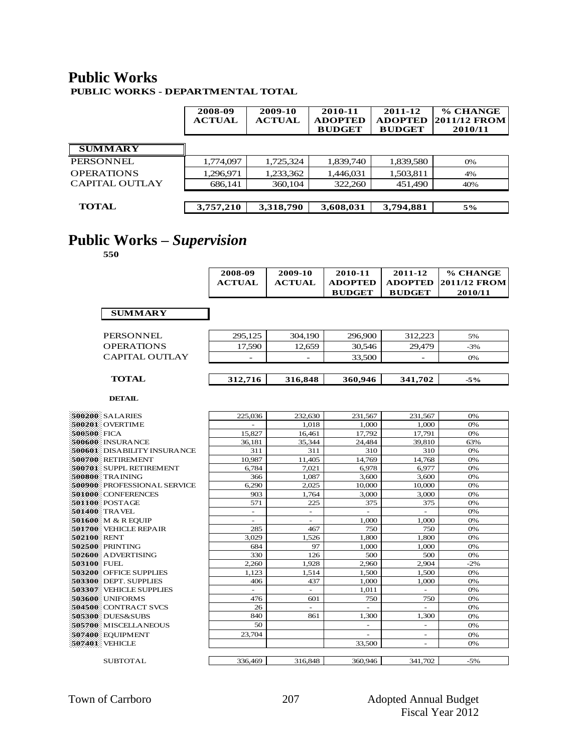### **Public Works**

**PUBLIC WORKS - DEPARTMENTAL TOTAL**

|                   | 2008-09<br><b>ACTUAL</b> | 2009-10<br><b>ACTUAL</b> | 2010-11<br><b>ADOPTED</b><br><b>BUDGET</b> | 2011-12<br><b>ADOPTED</b><br><b>BUDGET</b> | % CHANGE<br>2011/12 FROM<br>2010/11 |
|-------------------|--------------------------|--------------------------|--------------------------------------------|--------------------------------------------|-------------------------------------|
| <b>SUMMARY</b>    |                          |                          |                                            |                                            |                                     |
| <b>PERSONNEL</b>  | 1,774,097                | 1,725,324                | 1,839,740                                  | 1,839,580                                  | 0%                                  |
| <b>OPERATIONS</b> | 1.296.971                | 1,233,362                | 1,446,031                                  | 1,503,811                                  | 4%                                  |
| CAPITAL OUTLAY    | 686,141                  | 360,104                  | 322,260                                    | 451,490                                    | 40%                                 |
| <b>TOTAL</b>      | 3,757,210                | 3,318,790                | 3,608,031                                  | 3,794,881                                  | 5%                                  |

# **Public Works –** *Supervision*

|                                                 | 2008-09<br><b>ACTUAL</b> | 2009-10<br><b>ACTUAL</b> | 2010-11<br><b>ADOPTED</b><br><b>BUDGET</b> | 2011-12<br><b>ADOPTED</b><br><b>BUDGET</b> | % CHANGE<br>2011/12 FROM<br>2010/11 |
|-------------------------------------------------|--------------------------|--------------------------|--------------------------------------------|--------------------------------------------|-------------------------------------|
| <b>SUMMARY</b>                                  |                          |                          |                                            |                                            |                                     |
| <b>PERSONNEL</b>                                | 295,125                  | 304,190                  | 296,900                                    | 312,223                                    | 5%                                  |
| <b>OPERATIONS</b>                               | 17.590                   | 12.659                   | 30.546                                     | 29.479                                     | $-3%$                               |
| <b>CAPITAL OUTLAY</b>                           |                          |                          | 33,500                                     |                                            | 0%                                  |
| <b>TOTAL</b>                                    | 312,716                  | 316,848                  | 360,946                                    | 341,702                                    | $-5%$                               |
| <b>DETAIL</b>                                   |                          |                          |                                            |                                            |                                     |
| 500200 SALARIES                                 | 225,036                  | 232,630                  | 231,567                                    | 231,567                                    | 0%                                  |
| 500201 OVERTIME                                 |                          | 1,018                    | 1,000                                      | 1,000                                      | 0%                                  |
| 500500 FICA                                     | 15,827                   | 16,461                   | 17,792                                     | 17,791                                     | 0%                                  |
| 500600 INSURANCE                                | 36,181                   | 35.344                   | 24.484                                     | 39.810                                     | 63%                                 |
| 500601 DISABILITY INSURANCE                     | 311                      | 311                      | 310                                        | 310                                        | 0%                                  |
| 500700 RETIREMENT                               | 10.987                   | 11.405                   | 14.769                                     | 14,768                                     | 0%                                  |
| 500701 SUPPL RETIREMENT                         | 6,784                    | 7,021                    | 6,978                                      | 6,977                                      | 0%                                  |
| 500800 TRAINING                                 | 366                      | 1.087                    | 3.600                                      | 3,600                                      | 0%                                  |
| 500900 PROFESSIONAL SERVICE                     | 6,290                    | 2,025                    | 10,000                                     | 10,000                                     | 0%                                  |
| 501000 CONFERENCES                              | 903                      | 1,764                    | 3,000                                      | 3,000                                      | 0%                                  |
| 501100 POSTAGE                                  | 571                      | 225                      | 375                                        | 375                                        | 0%                                  |
| 501400 TRAVEL                                   | $\overline{\phantom{a}}$ | $\omega$                 | ÷,                                         | $\bar{a}$                                  | 0%                                  |
| 501600 M & R EOUIP                              | $\sim$                   | $\sim$                   | 1,000                                      | 1,000                                      | 0%                                  |
| 501700 VEHICLE REPAIR                           | 285                      | 467                      | 750                                        | 750                                        | 0%                                  |
| 502100 RENT                                     | 3,029                    | 1,526                    | 1,800                                      | 1,800                                      | 0%                                  |
| 502500 PRINTING                                 | 684                      | 97                       | 1.000                                      | 1.000                                      | 0%                                  |
| 502600 ADVERTISING                              | 330                      | 126                      | 500                                        | 500                                        | 0%                                  |
| 503100 FUEL                                     | 2.260                    | 1.928                    | 2.960                                      | 2.904                                      | $-2%$                               |
| 503200 OFFICE SUPPLIES<br>503300 DEPT. SUPPLIES | 1.123<br>406             | 1,514<br>437             | 1,500                                      | 1,500                                      | 0%                                  |
| 503307 VEHICLE SUPPLIES                         |                          | $\equiv$                 | 1.000<br>1,011                             | 1.000                                      | 0%<br>0%                            |
| 503600 UNIFORMS                                 | 476                      | 601                      | 750                                        | 750                                        | 0%                                  |
| 504500 CONTRACT SVCS                            | 26                       | $\sim$                   | $\overline{a}$                             |                                            | 0%                                  |
| 505300 DUES&SUBS                                | 840                      | 861                      | 1.300                                      | 1.300                                      | 0%                                  |
| 505700 MISCELLANEOUS                            | 50                       |                          | $\overline{\phantom{a}}$                   | $\overline{\phantom{a}}$                   | 0%                                  |
| 507400 EOUIPMENT                                | 23,704                   |                          |                                            | $\overline{\phantom{a}}$                   | 0%                                  |
| 507401 VEHICLE                                  |                          |                          | 33,500                                     |                                            | 0%                                  |
| <b>SUBTOTAL</b>                                 | 336,469                  | 316,848                  | 360,946                                    | 341.702                                    | $-5%$                               |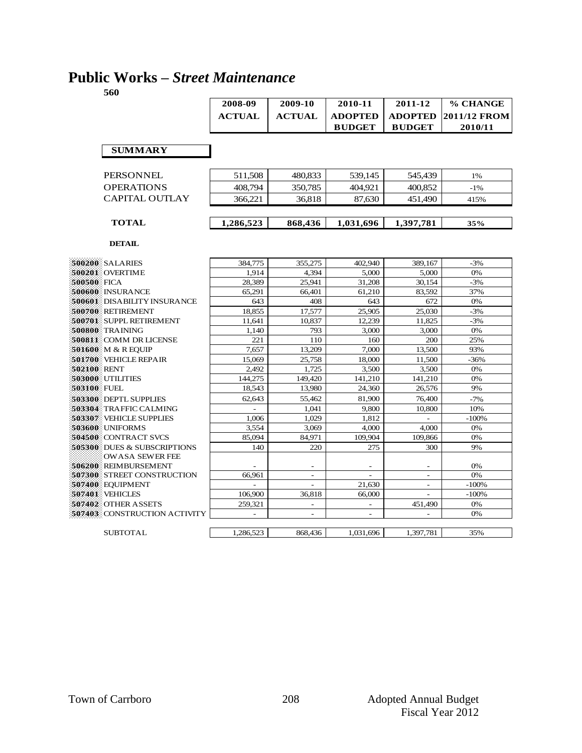### **Public Works –** *Street Maintenance*

|                                                       | 2008-09                  | 2009-10                  | 2010-11                  | 2011-12                     | % CHANGE            |
|-------------------------------------------------------|--------------------------|--------------------------|--------------------------|-----------------------------|---------------------|
|                                                       | <b>ACTUAL</b>            | <b>ACTUAL</b>            | <b>ADOPTED</b>           | <b>ADOPTED</b>              | <b>2011/12 FROM</b> |
|                                                       |                          |                          | <b>BUDGET</b>            | <b>BUDGET</b>               | 2010/11             |
|                                                       |                          |                          |                          |                             |                     |
| <b>SUMMARY</b>                                        |                          |                          |                          |                             |                     |
|                                                       |                          |                          |                          |                             |                     |
|                                                       |                          |                          |                          |                             |                     |
| <b>PERSONNEL</b>                                      | 511,508                  | 480,833                  | 539.145                  | 545.439                     | 1%                  |
| <b>OPERATIONS</b>                                     | 408,794                  | 350,785                  | 404.921                  | 400.852                     | $-1%$               |
| <b>CAPITAL OUTLAY</b>                                 | 366,221                  | 36,818                   | 87,630                   | 451,490                     | 415%                |
|                                                       |                          |                          |                          |                             |                     |
| <b>TOTAL</b>                                          | 1,286,523                | 868,436                  | 1,031,696                | 1,397,781                   | 35%                 |
|                                                       |                          |                          |                          |                             |                     |
| <b>DETAIL</b>                                         |                          |                          |                          |                             |                     |
|                                                       |                          |                          |                          |                             |                     |
| <b>\$00200 SALARIES</b>                               | 384,775                  | 355,275                  | 402,940                  | 389,167                     | $-3%$               |
| 500201 OVERTIME                                       | 1.914                    | 4.394                    | 5.000                    | 5,000                       | 0%                  |
| 500500 FICA                                           | 28,389                   | 25,941                   | 31,208                   | 30,154                      | $-3%$               |
| 500600 INSURANCE                                      | 65,291                   | 66.401                   | 61,210                   | 83,592                      | 37%                 |
| 500601 DISABILITY INSURANCE                           | 643                      | 408                      | 643                      | 672                         | 0%                  |
| 500700 RETIREMENT                                     | 18,855                   | 17,577                   | 25,905                   | 25,030                      | $-3%$               |
| 500701 SUPPL RETIREMENT                               | 11,641                   | 10,837                   | 12,239                   | 11,825                      | $-3%$               |
| 500800 TRAINING                                       | 1,140                    | 793                      | 3,000                    | 3,000                       | 0%                  |
| 500811 COMM DR LICENSE                                | 221                      | 110                      | 160                      | 200                         | 25%                 |
| 501600 M & R EQUIP                                    | 7.657                    | 13,209                   | 7,000                    | 13,500                      | 93%                 |
| 501700 VEHICLE REPAIR                                 | 15,069                   | 25,758                   | 18,000                   | 11,500                      | $-36%$              |
| 502100 RENT                                           | 2,492                    | 1,725                    | 3,500                    | 3,500                       | 0%                  |
| 503000 UTILITIES                                      | 144,275                  | 149,420                  | 141,210                  | 141,210                     | 0%                  |
| 503100 FUEL                                           | 18.543                   | 13.980                   | 24,360                   | 26,576                      | 9%                  |
| 503300 DEPTL SUPPLIES                                 | 62.643                   | 55.462                   | 81.900                   | 76,400                      | $-7%$               |
| 503304 TRAFFIC CALMING                                | $\overline{\phantom{a}}$ | 1,041                    | 9,800                    | 10,800                      | 10%                 |
| <b>503307 VEHICLE SUPPLIES</b>                        | 1,006                    | 1,029                    | 1,812                    | $\mathcal{L}^{\mathcal{A}}$ | $-100%$             |
| 503600 UNIFORMS                                       | 3,554                    | 3,069                    | 4,000                    | 4,000                       | 0%                  |
| 504500 CONTRACT SVCS                                  | 85,094                   | 84,971                   | 109,904                  | 109,866                     | 0%                  |
| 505300 DUES & SUBSCRIPTIONS<br><b>OWASA SEWER FEE</b> | 140                      | 220                      | 275                      | 300                         | 9%                  |
| 506200 REIMBURSEMENT                                  |                          |                          |                          |                             | 0%                  |
| 507300 STREET CONSTRUCTION                            | 66,961                   | $\overline{a}$           | $\overline{a}$           | $\overline{\phantom{a}}$    | 0%                  |
| 507400 EQUIPMENT                                      |                          |                          | 21,630                   | $\overline{\phantom{a}}$    | $-100%$             |
| 507401 VEHICLES                                       | 106,900                  | 36,818                   | 66,000                   |                             | $-100%$             |
| 507402 OTHER ASSETS                                   | 259,321                  | $\overline{\phantom{a}}$ | $\overline{\phantom{a}}$ | 451,490                     | 0%                  |
| 507403 CONSTRUCTION ACTIVITY                          | $\overline{\phantom{a}}$ | $\overline{a}$           | $\overline{\phantom{a}}$ | $\sim$                      | 0%                  |
|                                                       |                          |                          |                          |                             |                     |
| <b>SUBTOTAL</b>                                       | 1,286,523                | 868,436                  | 1,031,696                | 1,397,781                   | 35%                 |
|                                                       |                          |                          |                          |                             |                     |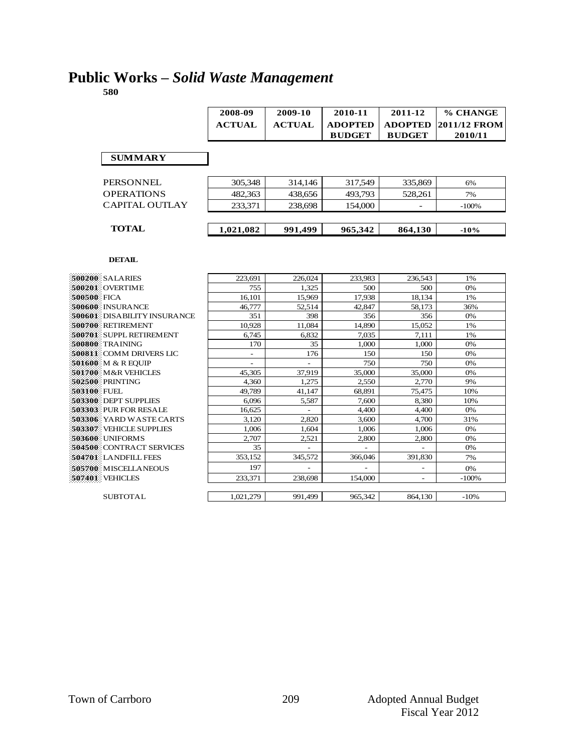## **Public Works –** *Solid Waste Management*

**580**

|                                 | 2008-09       | 2009-10       | 2010-11        | 2011-12        | % CHANGE            |
|---------------------------------|---------------|---------------|----------------|----------------|---------------------|
|                                 | <b>ACTUAL</b> | <b>ACTUAL</b> | <b>ADOPTED</b> | <b>ADOPTED</b> | <b>2011/12 FROM</b> |
|                                 |               |               | <b>BUDGET</b>  | <b>BUDGET</b>  | 2010/11             |
|                                 |               |               |                |                |                     |
| <b>SUMMARY</b>                  |               |               |                |                |                     |
|                                 |               |               |                |                |                     |
| <b>PERSONNEL</b>                | 305,348       | 314,146       | 317,549        | 335,869        | 6%                  |
| <b>OPERATIONS</b>               | 482.363       | 438.656       | 493.793        | 528,261        | 7%                  |
| <b>CAPITAL OUTLAY</b>           | 233,371       | 238.698       | 154,000        |                | $-100%$             |
|                                 |               |               |                |                |                     |
|                                 |               |               |                |                |                     |
| <b>TOTAL</b>                    | 1,021,082     | 991,499       | 965,342        | 864,130        | $-10%$              |
|                                 |               |               |                |                |                     |
| <b>DETAIL</b>                   |               |               |                |                |                     |
|                                 |               |               |                |                |                     |
| 500200 SALARIES                 | 223.691       | 226.024       | 233.983        | 236,543        | 1%                  |
| 500201 OVERTIME                 | 755           | 1.325         | 500            | 500            | 0%                  |
| 500500 FICA                     | 16,101        | 15.969        | 17.938         | 18.134         | 1%                  |
| 500600 INSURANCE                | 46,777        | 52,514        | 42,847         | 58.173         | 36%                 |
| 500601 DISABILITY INSURANCE     | 351           | 398           | 356            | 356            | 0%                  |
| 500700 RETIREMENT               | 10,928        | 11,084        | 14,890         | 15,052         | 1%                  |
| 500701 SUPPL RETIREMENT         | 6.745         | 6.832         | 7.035          | 7.111          | 1%                  |
| 500800 TRAINING                 | 170           | 35            | 1.000          | 1.000          | 0%                  |
| <b>500811: COMM DRIVERS LIC</b> |               | 176           | 150            | 150            | 0%                  |
| 501600 M & R EOUIP              |               |               | 750            | 750            | 0%                  |
| 501700 M&R VEHICLES             | 45,305        | 37,919        | 35,000         | 35,000         | 0%                  |
| 502500: PRINTING                | 4.360         | 1.275         | 2,550          | 2,770          | 9%                  |
| 503100 FUEL                     | 49,789        | 41.147        | 68,891         | 75,475         | 10%                 |
| 503300 DEPT SUPPLIES            | 6,096         | 5,587         | 7.600          | 8,380          | 10%                 |
| 503303. PUR FOR RESALE          | 16,625        |               | 4,400          | 4,400          | 0%                  |
| 503306 YARD WASTE CARTS         | 3,120         | 2,820         | 3,600          | 4,700          | 31%                 |
|                                 |               |               |                |                |                     |

 VEHICLE SUPPLIES  $\begin{array}{|c|c|c|c|c|c|c|c|c|}\n\hline\n&1,006 & 1,006 & 1,006 & 1,006 & 0\% \\
\hline\n&2,707 & 2,521 & 2,800 & 2,800 & 0\% \\
\hline\n\end{array}$  UNIFORMS 2,707 2,521 2,800 2,800 0%<br>**504500** CONTRACT SERVICES 35 2,521 2,800 2,800 0% CONTRACT SERVICES LANDFILL FEES 353,152 345,572 366,046 391,830 7% MISCELLANEOUS 197 - - - 0% VEHICLES 233,371 238,698 154,000

| <b>CI IDTOTA I</b> |  |
|--------------------|--|

|                 | -----     | .                        | .       | .       | .       |
|-----------------|-----------|--------------------------|---------|---------|---------|
| MISCELLANEOUS   | 197       | $\overline{\phantom{0}}$ | -       |         | 0%      |
| <b>VEHICLES</b> | 233.371   | 238,698                  | 154,000 |         | $-100%$ |
|                 |           |                          |         |         |         |
| SUBTOTAL        | 1.021.279 | 991.499                  | 965,342 | 864,130 | $-10%$  |
|                 |           |                          |         |         |         |
|                 |           |                          |         |         |         |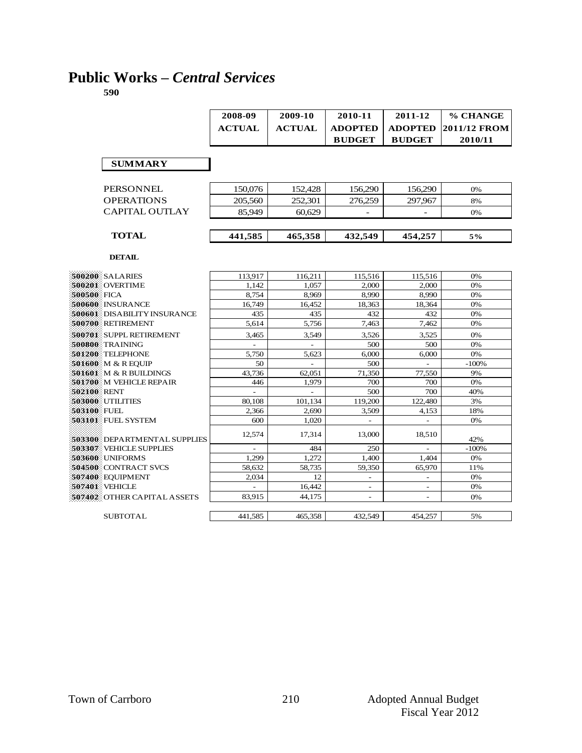# **Public Works –** *Central Services*

|                                     | 2008-09       | 2009-10        | 2010-11                  | 2011-12                  | % CHANGE     |
|-------------------------------------|---------------|----------------|--------------------------|--------------------------|--------------|
|                                     | <b>ACTUAL</b> | <b>ACTUAL</b>  | <b>ADOPTED</b>           | <b>ADOPTED</b>           | 2011/12 FROM |
|                                     |               |                |                          |                          |              |
|                                     |               |                | <b>BUDGET</b>            | <b>BUDGET</b>            | 2010/11      |
|                                     |               |                |                          |                          |              |
| <b>SUMMARY</b>                      |               |                |                          |                          |              |
|                                     |               |                |                          |                          |              |
| <b>PERSONNEL</b>                    | 150,076       | 152,428        | 156,290                  | 156,290                  | 0%           |
| <b>OPERATIONS</b>                   | 205,560       | 252.301        | 276.259                  | 297.967                  | 8%           |
| <b>CAPITAL OUTLAY</b>               | 85,949        | 60.629         |                          |                          | 0%           |
|                                     |               |                |                          |                          |              |
|                                     |               |                |                          |                          |              |
| <b>TOTAL</b>                        | 441,585       | 465,358        | 432,549                  | 454,257                  | 5%           |
|                                     |               |                |                          |                          |              |
| <b>DETAIL</b>                       |               |                |                          |                          |              |
|                                     |               |                |                          |                          |              |
| 500200 SALARIES                     | 113,917       | 116,211        | 115,516                  | 115,516                  | 0%           |
| 500201 OVERTIME                     | 1.142         | 1.057          | 2.000                    | 2.000                    | 0%           |
| 500500 FICA                         | 8.754         | 8.969          | 8.990                    | 8.990                    | 0%           |
| 500600 INSURANCE                    | 16,749        | 16,452         | 18,363                   | 18,364                   | 0%           |
| <b>500601</b> DISABILITY INSURANCE  | 435           | 435            | 432                      | 432                      | 0%           |
| 500700 RETIREMENT                   | 5,614         | 5,756          | 7,463                    | 7,462                    | 0%           |
| 500701 SUPPL RETIREMENT             | 3.465         | 3.549          | 3,526                    | 3,525                    | 0%           |
| 500800 TRAINING                     | $\sim$        | $\overline{a}$ | 500                      | 500                      | 0%           |
| 501200 TELEPHONE                    | 5.750         | 5.623          | 6.000                    | 6.000                    | 0%           |
| 501600 M & R EOUIP                  | 50            |                | 500                      |                          | $-100%$      |
| 501601 M & R BUILDINGS              | 43.736        | 62.051         | 71.350                   | 77.550                   | 9%           |
| 501700 M VEHICLE REPAIR             | 446           | 1,979          | 700                      | 700                      | 0%           |
| 502100 RENT                         |               |                | 500                      | 700                      | 40%          |
| 503000 UTILITIES                    | 80.108        | 101,134        | 119.200                  | 122,480                  | 3%           |
| 503100 FUEL                         | 2,366         | 2,690          | 3,509                    | 4,153                    | 18%          |
| 503101 FUEL SYSTEM                  | 600           | 1.020          |                          |                          | 0%           |
| <b>503300</b> DEPARTMENTAL SUPPLIES | 12,574        | 17,314         | 13,000                   | 18,510                   | 42%          |
| 503307 VEHICLE SUPPLIES             |               | 484            | 250                      |                          | $-100%$      |
| 503600 UNIFORMS                     | 1,299         | 1.272          | 1,400                    | 1,404                    | 0%           |
| 504500 CONTRACT SVCS                | 58,632        | 58.735         | 59,350                   | 65,970                   | 11%          |
| 507400 EQUIPMENT                    | 2.034         | 12             | $\overline{\phantom{a}}$ | $\overline{\phantom{a}}$ | 0%           |
| 507401 VEHICLE                      |               | 16.442         |                          |                          | 0%           |
| 507402 OTHER CAPITAL ASSETS         | 83,915        | 44.175         | $\overline{\phantom{a}}$ | $\overline{\phantom{a}}$ | 0%           |
|                                     |               |                |                          |                          |              |
| <b>SUBTOTAL</b>                     | 441,585       | 465,358        | 432.549                  | 454,257                  | 5%           |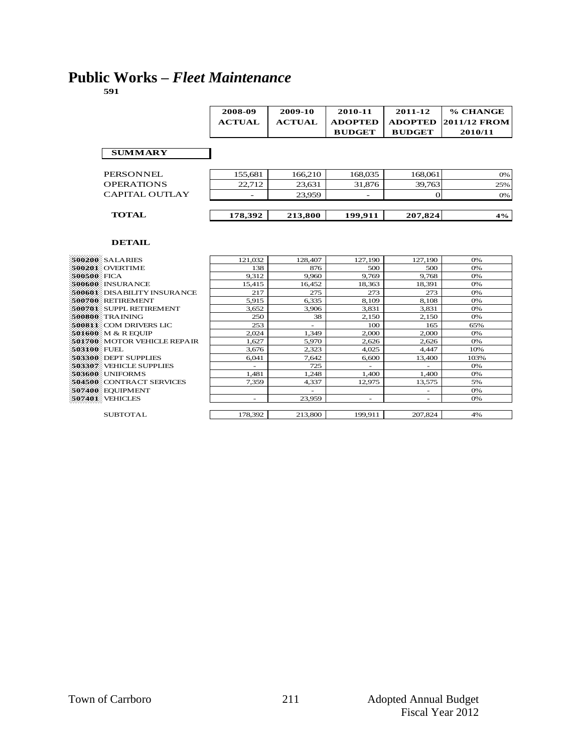# **Public Works –** *Fleet Maintenance*

 $\blacksquare$ 

**591**

|                   | 2008-09       | 2009-10       | 2010-11        | 2011-12        | % CHANGE     |
|-------------------|---------------|---------------|----------------|----------------|--------------|
|                   | <b>ACTUAL</b> | <b>ACTUAL</b> | <b>ADOPTED</b> | <b>ADOPTED</b> | 2011/12 FROM |
|                   |               |               | <b>BUDGET</b>  | <b>BUDGET</b>  | 2010/11      |
|                   |               |               |                |                |              |
| <b>SUMMARY</b>    |               |               |                |                |              |
|                   |               |               |                |                |              |
| PERSONNEL         | 155,681       | 166,210       | 168,035        | 168,061        | 0%           |
| <b>OPERATIONS</b> | 22,712        | 23,631        | 31,876         | 39,763         | 25%          |
| CAPITAL OUTLAY    |               | 23,959        |                |                | 0%           |
|                   |               |               |                |                |              |
| <b>TOTAL</b>      | 178,392       | 213,800       | 199,911        | 207,824        | 4%           |
|                   |               |               |                |                |              |

| <b>500200 SALARIES</b>         | 121,032 | 128,407 | 127,190                  | 127,190                  | 0%   |
|--------------------------------|---------|---------|--------------------------|--------------------------|------|
|                                |         |         |                          |                          |      |
| 500201 OVERTIME                | 138     | 876     | 500                      | 500                      | 0%   |
| 500500 FICA                    | 9,312   | 9.960   | 9.769                    | 9.768                    | 0%   |
| <b>500600 INSURANCE</b>        | 15,415  | 16,452  | 18,363                   | 18,391                   | 0%   |
| 500601: DISABILITY INSURANCE   | 217     | 275     | 273                      | 273                      | 0%   |
| 500700 RETIREMENT              | 5,915   | 6,335   | 8,109                    | 8,108                    | 0%   |
| <b>500701 SUPPL RETIREMENT</b> | 3,652   | 3,906   | 3,831                    | 3,831                    | 0%   |
| 500800 TRAINING                | 250     | 38      | 2,150                    | 2,150                    | 0%   |
| <b>500811 COM DRIVERS LIC</b>  | 253     | ٠       | 100                      | 165                      | 65%  |
| 501600 M & R EOUIP             | 2.024   | 1.349   | 2.000                    | 2,000                    | 0%   |
| 501700 MOTOR VEHICLE REPAIR    | 1,627   | 5,970   | 2,626                    | 2,626                    | 0%   |
| 503100 FUEL                    | 3,676   | 2,323   | 4.025                    | 4,447                    | 10%  |
| 503300 DEPT SUPPLIES           | 6,041   | 7,642   | 6.600                    | 13,400                   | 103% |
| 503307 VEHICLE SUPPLIES        |         | 725     |                          | $\overline{\phantom{a}}$ | 0%   |
| 503600 UNIFORMS                | 1,481   | 1,248   | 1,400                    | 1,400                    | 0%   |
| 504500 CONTRACT SERVICES       | 7,359   | 4,337   | 12,975                   | 13,575                   | 5%   |
| 507400 EOUIPMENT               |         | ٠       |                          | $\overline{\phantom{a}}$ | 0%   |
| 507401 VEHICLES                | -       | 23,959  | $\overline{\phantom{a}}$ | -                        | 0%   |
|                                |         |         |                          |                          |      |
| <b>SUBTOTAL</b>                | 178,392 | 213,800 | 199,911                  | 207.824                  | 4%   |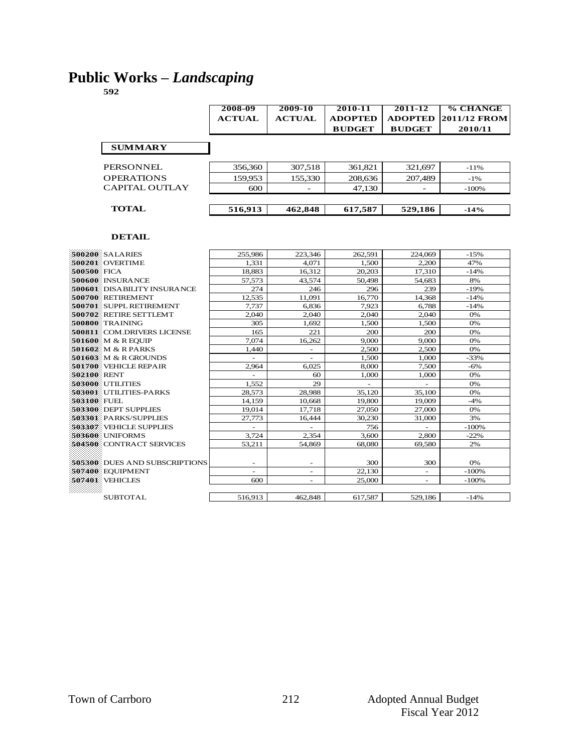### **Public Works –** *Landscaping*

|                       | 2008-09<br><b>ACTUAL</b> | 2009-10<br><b>ACTUAL</b> | 2010-11<br><b>ADOPTED</b> | 2011-12<br><b>ADOPTED</b> | % CHANGE<br>2011/12 FROM |
|-----------------------|--------------------------|--------------------------|---------------------------|---------------------------|--------------------------|
|                       |                          |                          | <b>BUDGET</b>             | <b>BUDGET</b>             | 2010/11                  |
| <b>SUMMARY</b>        |                          |                          |                           |                           |                          |
| PERSONNEL             | 356,360                  | 307,518                  | 361,821                   | 321,697                   | $-11%$                   |
| <b>OPERATIONS</b>     | 159,953                  | 155,330                  | 208,636                   | 207,489                   | $-1\%$                   |
| <b>CAPITAL OUTLAY</b> | 600                      | $\overline{\phantom{0}}$ | 47,130                    |                           | $-100%$                  |
|                       |                          |                          |                           |                           |                          |
| <b>TOTAL</b>          | 516,913                  | 462,848                  | 617,587                   | 529,186                   | $-14%$                   |
|                       |                          |                          |                           |                           |                          |

| 1.331<br>4.071<br>500201 OVERTIME<br>1.500<br>2.200<br>47%<br>500500 FICA<br>18,883<br>16,312<br>20,203<br>$-14%$<br>17,310<br>500600 INSURANCE<br>57,573<br>43.574<br>50,498<br>54,683<br>8%<br><b>500601: DISABILITY INSURANCE</b><br>296<br>239<br>274<br>246<br>$-19%$<br>500700 RETIREMENT<br>11,091<br>16,770<br>12.535<br>14,368<br>$-14%$<br>6,836<br>500701 SUPPL RETIREMENT<br>7.737<br>7,923<br>6,788<br>$-14%$<br>500702 RETIRE SETTLEMT<br>2.040<br>2.040<br>2.040<br>0%<br>2,040<br>305<br>1.500<br>1,500<br>0%<br>500800 TRAINING<br>1.692<br>221<br>500811 COM DRIVERS LICENSE<br>165<br>200<br>200<br>0%<br>7.074<br>9.000<br>9,000<br>0%<br>501600 M & R EOUIP<br>16,262<br>501602 M & R PARKS<br>2,500<br>2,500<br>0%<br>1,440<br>501603 M & R GROUNDS<br>1,500<br>$-33%$<br>1,000<br>501700 VEHICLE REPAIR<br>6.025<br>8,000<br>7,500<br>$-6%$<br>2,964<br>0%<br>502100 RENT<br>60<br>1,000<br>1,000<br>503000 UTILITIES<br>29<br>1.552<br>0%<br>÷<br>28,988<br>35,100<br>503001 UTILITIES-PARKS<br>28,573<br>35,120<br>0%<br>503100 FUEL<br>19,800<br>19,009<br>$-4%$<br>14,159<br>10,668<br>503300 DEPT SUPPLIES<br>0%<br>19,014<br>17,718<br>27,050<br>27,000<br>30.230<br>31,000<br>3%<br>503301 PARKS/SUPPLIES<br>27,773<br>16,444<br>503307 VEHICLE SUPPLIES<br>756<br>$-100%$<br>$\overline{\phantom{0}}$<br>÷,<br>503600 UNIFORMS<br>3,724<br>2,354<br>3,600<br>2.800<br>$-22%$<br>504500 CONTRACT SERVICES<br>54,869<br>2%<br>53,211<br>68,080<br>69,580<br>505300 DUES AND SUBSCRIPTIONS<br>300<br>300<br>0%<br>۰<br>۰<br>507400 EOUIPMENT<br>22,130<br>$-100%$<br>$\overline{a}$<br>٠<br>۰<br>507401 VEHICLES<br>600<br>25,000<br>$-100%$<br>$\overline{\phantom{0}}$<br>$\overline{\phantom{0}}$<br><b>SUBTOTAL</b><br>516,913<br>617,587<br>462,848<br>529,186<br>$-14%$ |                 |         |         |         |         |        |
|-----------------------------------------------------------------------------------------------------------------------------------------------------------------------------------------------------------------------------------------------------------------------------------------------------------------------------------------------------------------------------------------------------------------------------------------------------------------------------------------------------------------------------------------------------------------------------------------------------------------------------------------------------------------------------------------------------------------------------------------------------------------------------------------------------------------------------------------------------------------------------------------------------------------------------------------------------------------------------------------------------------------------------------------------------------------------------------------------------------------------------------------------------------------------------------------------------------------------------------------------------------------------------------------------------------------------------------------------------------------------------------------------------------------------------------------------------------------------------------------------------------------------------------------------------------------------------------------------------------------------------------------------------------------------------------------------------------------------------------------------------------------------------------------------------------|-----------------|---------|---------|---------|---------|--------|
|                                                                                                                                                                                                                                                                                                                                                                                                                                                                                                                                                                                                                                                                                                                                                                                                                                                                                                                                                                                                                                                                                                                                                                                                                                                                                                                                                                                                                                                                                                                                                                                                                                                                                                                                                                                                           | 500200 SALARIES | 255,986 | 223,346 | 262,591 | 224,069 | $-15%$ |
|                                                                                                                                                                                                                                                                                                                                                                                                                                                                                                                                                                                                                                                                                                                                                                                                                                                                                                                                                                                                                                                                                                                                                                                                                                                                                                                                                                                                                                                                                                                                                                                                                                                                                                                                                                                                           |                 |         |         |         |         |        |
|                                                                                                                                                                                                                                                                                                                                                                                                                                                                                                                                                                                                                                                                                                                                                                                                                                                                                                                                                                                                                                                                                                                                                                                                                                                                                                                                                                                                                                                                                                                                                                                                                                                                                                                                                                                                           |                 |         |         |         |         |        |
|                                                                                                                                                                                                                                                                                                                                                                                                                                                                                                                                                                                                                                                                                                                                                                                                                                                                                                                                                                                                                                                                                                                                                                                                                                                                                                                                                                                                                                                                                                                                                                                                                                                                                                                                                                                                           |                 |         |         |         |         |        |
|                                                                                                                                                                                                                                                                                                                                                                                                                                                                                                                                                                                                                                                                                                                                                                                                                                                                                                                                                                                                                                                                                                                                                                                                                                                                                                                                                                                                                                                                                                                                                                                                                                                                                                                                                                                                           |                 |         |         |         |         |        |
|                                                                                                                                                                                                                                                                                                                                                                                                                                                                                                                                                                                                                                                                                                                                                                                                                                                                                                                                                                                                                                                                                                                                                                                                                                                                                                                                                                                                                                                                                                                                                                                                                                                                                                                                                                                                           |                 |         |         |         |         |        |
|                                                                                                                                                                                                                                                                                                                                                                                                                                                                                                                                                                                                                                                                                                                                                                                                                                                                                                                                                                                                                                                                                                                                                                                                                                                                                                                                                                                                                                                                                                                                                                                                                                                                                                                                                                                                           |                 |         |         |         |         |        |
|                                                                                                                                                                                                                                                                                                                                                                                                                                                                                                                                                                                                                                                                                                                                                                                                                                                                                                                                                                                                                                                                                                                                                                                                                                                                                                                                                                                                                                                                                                                                                                                                                                                                                                                                                                                                           |                 |         |         |         |         |        |
|                                                                                                                                                                                                                                                                                                                                                                                                                                                                                                                                                                                                                                                                                                                                                                                                                                                                                                                                                                                                                                                                                                                                                                                                                                                                                                                                                                                                                                                                                                                                                                                                                                                                                                                                                                                                           |                 |         |         |         |         |        |
|                                                                                                                                                                                                                                                                                                                                                                                                                                                                                                                                                                                                                                                                                                                                                                                                                                                                                                                                                                                                                                                                                                                                                                                                                                                                                                                                                                                                                                                                                                                                                                                                                                                                                                                                                                                                           |                 |         |         |         |         |        |
|                                                                                                                                                                                                                                                                                                                                                                                                                                                                                                                                                                                                                                                                                                                                                                                                                                                                                                                                                                                                                                                                                                                                                                                                                                                                                                                                                                                                                                                                                                                                                                                                                                                                                                                                                                                                           |                 |         |         |         |         |        |
|                                                                                                                                                                                                                                                                                                                                                                                                                                                                                                                                                                                                                                                                                                                                                                                                                                                                                                                                                                                                                                                                                                                                                                                                                                                                                                                                                                                                                                                                                                                                                                                                                                                                                                                                                                                                           |                 |         |         |         |         |        |
|                                                                                                                                                                                                                                                                                                                                                                                                                                                                                                                                                                                                                                                                                                                                                                                                                                                                                                                                                                                                                                                                                                                                                                                                                                                                                                                                                                                                                                                                                                                                                                                                                                                                                                                                                                                                           |                 |         |         |         |         |        |
|                                                                                                                                                                                                                                                                                                                                                                                                                                                                                                                                                                                                                                                                                                                                                                                                                                                                                                                                                                                                                                                                                                                                                                                                                                                                                                                                                                                                                                                                                                                                                                                                                                                                                                                                                                                                           |                 |         |         |         |         |        |
|                                                                                                                                                                                                                                                                                                                                                                                                                                                                                                                                                                                                                                                                                                                                                                                                                                                                                                                                                                                                                                                                                                                                                                                                                                                                                                                                                                                                                                                                                                                                                                                                                                                                                                                                                                                                           |                 |         |         |         |         |        |
|                                                                                                                                                                                                                                                                                                                                                                                                                                                                                                                                                                                                                                                                                                                                                                                                                                                                                                                                                                                                                                                                                                                                                                                                                                                                                                                                                                                                                                                                                                                                                                                                                                                                                                                                                                                                           |                 |         |         |         |         |        |
|                                                                                                                                                                                                                                                                                                                                                                                                                                                                                                                                                                                                                                                                                                                                                                                                                                                                                                                                                                                                                                                                                                                                                                                                                                                                                                                                                                                                                                                                                                                                                                                                                                                                                                                                                                                                           |                 |         |         |         |         |        |
|                                                                                                                                                                                                                                                                                                                                                                                                                                                                                                                                                                                                                                                                                                                                                                                                                                                                                                                                                                                                                                                                                                                                                                                                                                                                                                                                                                                                                                                                                                                                                                                                                                                                                                                                                                                                           |                 |         |         |         |         |        |
|                                                                                                                                                                                                                                                                                                                                                                                                                                                                                                                                                                                                                                                                                                                                                                                                                                                                                                                                                                                                                                                                                                                                                                                                                                                                                                                                                                                                                                                                                                                                                                                                                                                                                                                                                                                                           |                 |         |         |         |         |        |
|                                                                                                                                                                                                                                                                                                                                                                                                                                                                                                                                                                                                                                                                                                                                                                                                                                                                                                                                                                                                                                                                                                                                                                                                                                                                                                                                                                                                                                                                                                                                                                                                                                                                                                                                                                                                           |                 |         |         |         |         |        |
|                                                                                                                                                                                                                                                                                                                                                                                                                                                                                                                                                                                                                                                                                                                                                                                                                                                                                                                                                                                                                                                                                                                                                                                                                                                                                                                                                                                                                                                                                                                                                                                                                                                                                                                                                                                                           |                 |         |         |         |         |        |
|                                                                                                                                                                                                                                                                                                                                                                                                                                                                                                                                                                                                                                                                                                                                                                                                                                                                                                                                                                                                                                                                                                                                                                                                                                                                                                                                                                                                                                                                                                                                                                                                                                                                                                                                                                                                           |                 |         |         |         |         |        |
|                                                                                                                                                                                                                                                                                                                                                                                                                                                                                                                                                                                                                                                                                                                                                                                                                                                                                                                                                                                                                                                                                                                                                                                                                                                                                                                                                                                                                                                                                                                                                                                                                                                                                                                                                                                                           |                 |         |         |         |         |        |
|                                                                                                                                                                                                                                                                                                                                                                                                                                                                                                                                                                                                                                                                                                                                                                                                                                                                                                                                                                                                                                                                                                                                                                                                                                                                                                                                                                                                                                                                                                                                                                                                                                                                                                                                                                                                           |                 |         |         |         |         |        |
|                                                                                                                                                                                                                                                                                                                                                                                                                                                                                                                                                                                                                                                                                                                                                                                                                                                                                                                                                                                                                                                                                                                                                                                                                                                                                                                                                                                                                                                                                                                                                                                                                                                                                                                                                                                                           |                 |         |         |         |         |        |
|                                                                                                                                                                                                                                                                                                                                                                                                                                                                                                                                                                                                                                                                                                                                                                                                                                                                                                                                                                                                                                                                                                                                                                                                                                                                                                                                                                                                                                                                                                                                                                                                                                                                                                                                                                                                           |                 |         |         |         |         |        |
|                                                                                                                                                                                                                                                                                                                                                                                                                                                                                                                                                                                                                                                                                                                                                                                                                                                                                                                                                                                                                                                                                                                                                                                                                                                                                                                                                                                                                                                                                                                                                                                                                                                                                                                                                                                                           |                 |         |         |         |         |        |
|                                                                                                                                                                                                                                                                                                                                                                                                                                                                                                                                                                                                                                                                                                                                                                                                                                                                                                                                                                                                                                                                                                                                                                                                                                                                                                                                                                                                                                                                                                                                                                                                                                                                                                                                                                                                           |                 |         |         |         |         |        |
|                                                                                                                                                                                                                                                                                                                                                                                                                                                                                                                                                                                                                                                                                                                                                                                                                                                                                                                                                                                                                                                                                                                                                                                                                                                                                                                                                                                                                                                                                                                                                                                                                                                                                                                                                                                                           |                 |         |         |         |         |        |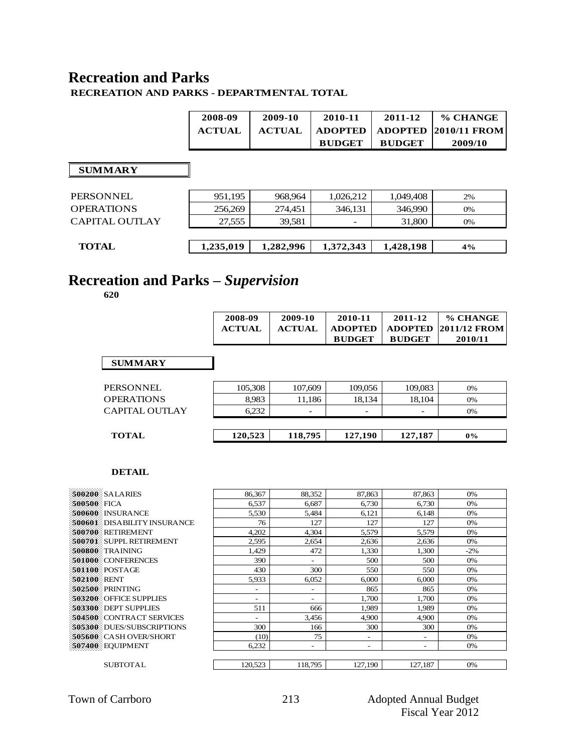### **Recreation and Parks**

#### **RECREATION AND PARKS - DEPARTMENTAL TOTAL**

| 2008-09       | 2009-10       | 2010-11       | 2011-12       | % CHANGE                           |
|---------------|---------------|---------------|---------------|------------------------------------|
| <b>ACTUAL</b> | <b>ACTUAL</b> | ADOPTED       |               | $\mid$ ADOPTED $\mid$ 2010/11 FROM |
|               |               | <b>BUDGET</b> | <b>BUDGET</b> | 2009/10                            |

#### **SUMMARY**

| PERSONNEL             | 951,195   | 968,964   | 1.026.212 | 1.049.408 | 2% |
|-----------------------|-----------|-----------|-----------|-----------|----|
| <b>OPERATIONS</b>     | 256,269   | 274,451   | 346,131   | 346,990   | 0% |
| <b>CAPITAL OUTLAY</b> | 27.555    | 39.581    |           | 31,800    | 0% |
|                       |           |           |           |           |    |
| <b>TOTAL</b>          | 1,235,019 | 1,282,996 | 1,372,343 | 1,428,198 | 4% |
|                       |           |           |           |           |    |

# **Recreation and Parks –** *Supervision*

**620**

|                   | 2008-09<br><b>ACTUAL</b> | 2009-10<br><b>ACTUAL</b> | 2010-11<br><b>ADOPTED</b><br><b>BUDGET</b> | 2011-12<br><b>ADOPTED</b><br><b>BUDGET</b> | % CHANGE<br>2011/12 FROM<br>2010/11 |
|-------------------|--------------------------|--------------------------|--------------------------------------------|--------------------------------------------|-------------------------------------|
| <b>SUMMARY</b>    |                          |                          |                                            |                                            |                                     |
| <b>PERSONNEL</b>  | 105,308                  | 107,609                  | 109,056                                    | 109,083                                    | 0%                                  |
| <b>OPERATIONS</b> | 8,983                    | 11,186                   | 18,134                                     | 18,104                                     | 0%                                  |
| CAPITAL OUTLAY    | 6,232                    |                          |                                            |                                            | 0%                                  |
| <b>TOTAL</b>      | 120,523                  | 118,795                  | 127,190                                    | 127,187                                    | $0\%$                               |

| 500200 SALARIES                    | 86,367                   | 88,352                   | 87,863                   | 87,863                   | 0%     |
|------------------------------------|--------------------------|--------------------------|--------------------------|--------------------------|--------|
| 500500 FICA                        | 6,537                    | 6,687                    | 6,730                    | 6,730                    | 0%     |
| 500600 INSURANCE                   | 5,530                    | 5,484                    | 6,121                    | 6,148                    | 0%     |
| <b>500601</b> DISABILITY INSURANCE | 76                       | 127                      | 127                      | 127                      | 0%     |
| 500700 RETIREMENT                  | 4,202                    | 4,304                    | 5,579                    | 5,579                    | 0%     |
| 500701 SUPPL RETIREMENT            | 2,595                    | 2,654                    | 2,636                    | 2,636                    | 0%     |
| 500800 TRAINING                    | 1,429                    | 472                      | 1,330                    | 1,300                    | $-2\%$ |
| 501000 CONFERENCES                 | 390                      | $\overline{\phantom{0}}$ | 500                      | 500                      | 0%     |
| 501100 POSTAGE                     | 430                      | 300                      | 550                      | 550                      | 0%     |
| 502100 RENT                        | 5,933                    | 6.052                    | 6.000                    | 6,000                    | 0%     |
| 502500 PRINTING                    | $\overline{\phantom{a}}$ |                          | 865                      | 865                      | 0%     |
| 503200 OFFICE SUPPLIES             | $\overline{a}$           | $\overline{\phantom{0}}$ | 1.700                    | 1.700                    | 0%     |
| 503300 DEPT SUPPLIES               | 511                      | 666                      | 1,989                    | 1,989                    | 0%     |
| 504500 CONTRACT SERVICES           | $\overline{\phantom{a}}$ | 3,456                    | 4,900                    | 4,900                    | 0%     |
| 505300 DUES/SUBSCRIPTIONS          | 300                      | 166                      | 300                      | 300                      | 0%     |
| <b>505600</b> CASH OVER/SHORT      | (10)                     | 75                       | $\overline{\phantom{0}}$ | $\overline{\phantom{0}}$ | 0%     |
| 507400 EQUIPMENT                   | 6,232                    | $\overline{\phantom{a}}$ | $\overline{\phantom{0}}$ | $\overline{\phantom{0}}$ | 0%     |
|                                    |                          |                          |                          |                          |        |
| <b>SUBTOTAL</b>                    | 120,523                  | 118,795                  | 127,190                  | 127,187                  | 0%     |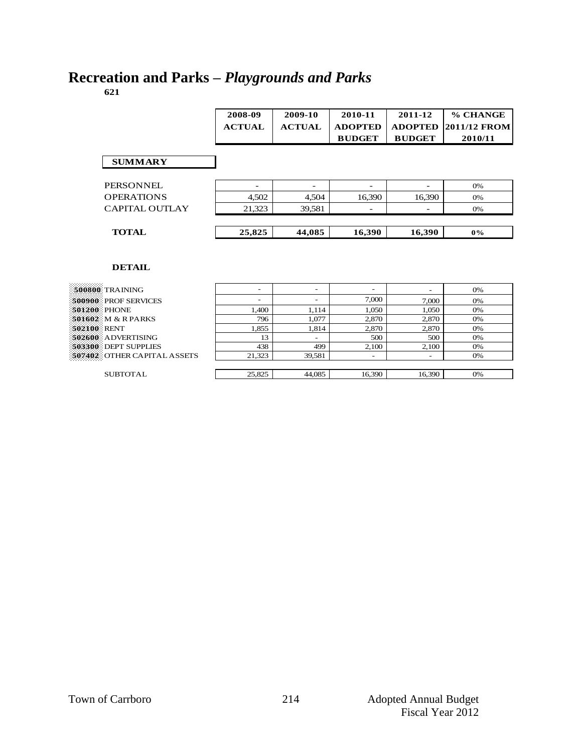## **Recreation and Parks –** *Playgrounds and Parks*

**621**

|                   | 2008-09<br><b>ACTUAL</b> | 2009-10<br><b>ACTUAL</b> | 2010-11<br><b>ADOPTED</b><br><b>BUDGET</b> | 2011-12<br><b>ADOPTED</b><br><b>BUDGET</b> | % CHANGE<br><b>2011/12 FROM</b><br>2010/11 |
|-------------------|--------------------------|--------------------------|--------------------------------------------|--------------------------------------------|--------------------------------------------|
| <b>SUMMARY</b>    |                          |                          |                                            |                                            |                                            |
| PERSONNEL         | -                        | ۰                        | -                                          | ۰                                          | 0%                                         |
| <b>OPERATIONS</b> | 4,502                    | 4,504                    | 16,390                                     | 16,390                                     | 0%                                         |
| CAPITAL OUTLAY    | 21.323                   | 39,581                   |                                            |                                            | 0%                                         |
| <b>TOTAL</b>      | 25,825                   | 44,085                   | 16,390                                     | 16,390                                     | $0\%$                                      |

| $500800$ TRAINING           | ۰      | -                        | -      |        | 0% |
|-----------------------------|--------|--------------------------|--------|--------|----|
| 500900 PROF SERVICES        | -      | $\overline{\phantom{0}}$ | 7.000  | 7.000  | 0% |
| 501200 PHONE                | 1.400  | 1.114                    | 1.050  | 1.050  | 0% |
| 501602 M & R PARKS          | 796    | 1,077                    | 2.870  | 2,870  | 0% |
| 502100 RENT                 | 1,855  | 1.814                    | 2.870  | 2,870  | 0% |
| 502600 ADVERTISING          | 13     | $\overline{\phantom{a}}$ | 500    | 500    | 0% |
| 503300 DEPT SUPPLIES        | 438    | 499                      | 2.100  | 2,100  | 0% |
| 507402 OTHER CAPITAL ASSETS | 21,323 | 39,581                   | -      |        | 0% |
|                             |        |                          |        |        |    |
| <b>SUBTOTAL</b>             | 25,825 | 44,085                   | 16,390 | 16,390 | 0% |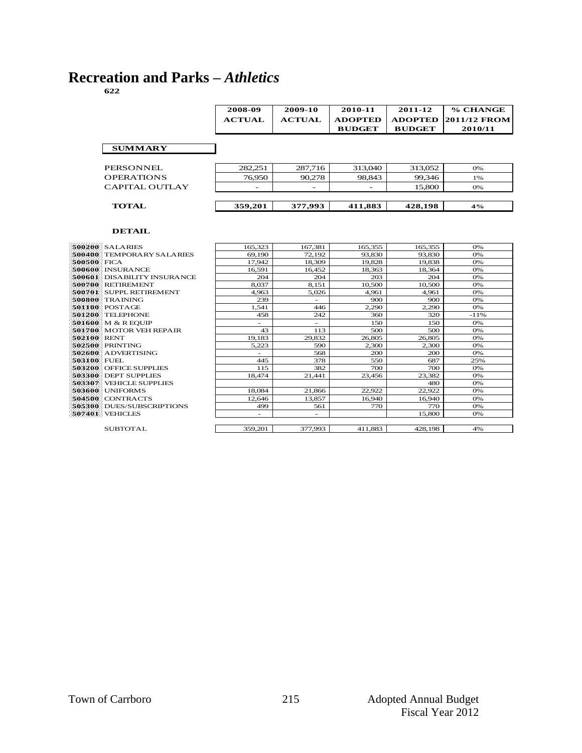# **Recreation and Parks –** *Athletics*

|                   | 2008-09<br><b>ACTUAL</b> | 2009-10<br><b>ACTUAL</b> | 2010-11<br><b>ADOPTED</b> | 2011-12<br><b>ADOPTED</b> | % CHANGE<br><b>2011/12 FROM</b> |
|-------------------|--------------------------|--------------------------|---------------------------|---------------------------|---------------------------------|
|                   |                          |                          | <b>BUDGET</b>             | <b>BUDGET</b>             | 2010/11                         |
| <b>SUMMARY</b>    |                          |                          |                           |                           |                                 |
| PERSONNEL         | 282.251                  | 287,716                  | 313,040                   | 313.052                   | 0%                              |
| <b>OPERATIONS</b> | 76,950                   | 90,278                   | 98.843                    | 99.346                    | 1%                              |
| CAPITAL OUTLAY    |                          |                          |                           | 15,800                    | 0%                              |
| <b>TOTAL</b>      | 359,201                  | 377,993                  | 411,883                   | 428,198                   | 4%                              |

 **DETAIL**

|               | 500200 SALARIES                |
|---------------|--------------------------------|
|               | 500400 TEMPORARY SALARIES      |
| -500500 FICA  |                                |
|               | <b>S00600 INSURANCE</b>        |
|               | 500601 DISABILITY INSURANCE    |
|               | $-500700$ RETIREMENT           |
|               | <b>500701 SUPPL RETIREMENT</b> |
|               | <b>S00800</b> TRAINING         |
|               | $501100$ POSTAGE               |
|               | $-501200$ : TELEPHONE          |
|               | 501600 M & R EQUIP             |
|               | $301700$ MOTOR VEH REPAIR      |
| $502100$ RENT |                                |
|               | <b>502500 PRINTING</b>         |
|               | 502600 ADVERTISING             |
| - 503100 FUEL |                                |
|               | <b>503200 OFFICE SUPPLIES</b>  |
|               | <b>503300 DEPT SUPPLIES</b>    |
|               | <b>503307 VEHICLE SUPPLIES</b> |
|               | <b>503600 UNIFORMS</b>         |
|               | $504500$ CONTRACTS             |
|               | 505300 DUES/SUBSCRIPTIONS      |
|               | 307401 : VEHICLES              |

|             | 500200 SALARIES                  | 165.323                  | 167.381                  | 165.355 | 165.355 | 0%        |
|-------------|----------------------------------|--------------------------|--------------------------|---------|---------|-----------|
|             | 500400 TEMPORARY SALARIES        | 69.190                   | 72,192                   | 93,830  | 93,830  | 0%        |
| 500500 FICA |                                  | 17.942                   | 18.309                   | 19.828  | 19.838  | O%        |
|             | 500600 INSURANCE                 | 16,591                   | 16,452                   | 18,363  | 18,364  | <b>O%</b> |
|             | 500601 DISABILITY INSURANCE      | 204                      | 204                      | 203     | 204     | 0%        |
|             | 500700 RETIREMENT                | 8.037                    | 8,151                    | 10,500  | 10,500  | O%        |
|             | 500701 SUPPL RETIREMENT          | 4.963                    | 5,026                    | 4,961   | 4,961   | O%        |
|             | 500800 TRAINING                  | 239                      | $\overline{\phantom{a}}$ | 900     | 900     | 0%        |
|             | 501100 POSTAGE                   | 1.541                    | 446                      | 2,290   | 2,290   | O%        |
|             | 501200 TELEPHONE                 | 458                      | 242                      | 360     | 320     | $-11%$    |
|             | 501600 M & R EOUIP               |                          |                          | 150     | 150     | 0%        |
|             | <b>501700 MOTOR VEH REPAIR</b>   | 43                       | 113                      | 500     | 500     | O%        |
| 502100 RENT |                                  | 19.183                   | 29.832                   | 26,805  | 26,805  | O%        |
|             | 502500 PRINTING                  | 5.223                    | 590                      | 2,300   | 2,300   | O%        |
|             | 502600 ADVERTISING               | $\overline{\phantom{a}}$ | 568                      | 200     | 200     | 0%        |
| 503100 FUEL |                                  | 445                      | 378                      | 550     | 687     | 25%       |
|             | 503200 OFFICE SUPPLIES           | 115                      | 382                      | 700     | 700     | O%        |
|             | 503300 DEPT SUPPLIES             | 18,474                   | 21,441                   | 23,456  | 23,382  | O%        |
|             | 503307 VEHICLE SUPPLIES          |                          |                          |         | 480     | 0%        |
|             | 503600 UNIFORMS                  | 18.084                   | 21.866                   | 22,922  | 22,922  | O%        |
|             | 504500 CONTRACTS                 | 12.646                   | 13,857                   | 16.940  | 16.940  | O%        |
|             | <b>505300</b> DUES/SUBSCRIPTIONS | 499                      | 561                      | 770     | 770     | 0%        |
|             | 507401 VEHICLES                  | $\overline{\phantom{0}}$ | $\overline{\phantom{a}}$ |         | 15,800  | 0%        |
|             |                                  |                          |                          |         |         |           |
|             | SUBTOTAL                         | 359,201                  | 377,993                  | 411.883 | 428,198 | 4%        |
|             |                                  |                          |                          |         |         |           |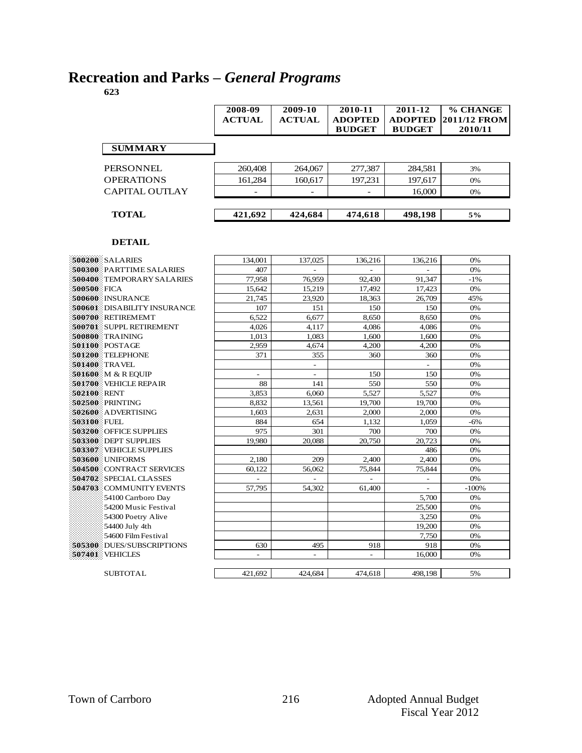# **Recreation and Parks –** *General Programs*

|                       | 2008-09<br><b>ACTUAL</b> | 2009-10<br><b>ACTUAL</b> | 2010-11<br><b>ADOPTED</b><br><b>BUDGET</b> | 2011-12<br><b>ADOPTED</b><br><b>BUDGET</b> | % CHANGE<br><b>2011/12 FROM</b><br>2010/11 |
|-----------------------|--------------------------|--------------------------|--------------------------------------------|--------------------------------------------|--------------------------------------------|
| <b>SUMMARY</b>        |                          |                          |                                            |                                            |                                            |
| PERSONNEL             | 260,408                  | 264,067                  | 277,387                                    | 284.581                                    | 3%                                         |
| <b>OPERATIONS</b>     | 161,284                  | 160,617                  | 197,231                                    | 197,617                                    | 0%                                         |
| <b>CAPITAL OUTLAY</b> |                          |                          |                                            | 16,000                                     | 0%                                         |
|                       |                          |                          |                                            |                                            |                                            |
| <b>TOTAL</b>          | 421,692                  | 424,684                  | 474,618                                    | 498,198                                    | 5%                                         |

|             | 500200 SALARIES                | 134,001        | 137,025                  | 136,216 | 136,216                      | 0%      |
|-------------|--------------------------------|----------------|--------------------------|---------|------------------------------|---------|
|             | 500300 PARTTIME SALARIES       | 407            | $\overline{\phantom{0}}$ |         | $\qquad \qquad \blacksquare$ | 0%      |
|             | 500400 TEMPORARY SALARIES      | 77,958         | 76.959                   | 92.430  | 91.347                       | $-1%$   |
| 500500 FICA |                                | 15,642         | 15,219                   | 17,492  | 17,423                       | 0%      |
|             | 500600 INSURANCE               | 21,745         | 23,920                   | 18,363  | 26,709                       | 45%     |
|             | 500601 DISABILITY INSURANCE    | 107            | 151                      | 150     | 150                          | 0%      |
|             | 500700 RETIREMEMT              | 6,522          | 6,677                    | 8,650   | 8,650                        | 0%      |
|             | 500701 SUPPL RETIREMENT        | 4.026          | 4.117                    | 4.086   | 4.086                        | 0%      |
|             | 500800 TRAINING                | 1,013          | 1,083                    | 1,600   | 1,600                        | 0%      |
|             | <b>501100</b> POSTAGE          | 2,959          | 4,674                    | 4,200   | 4,200                        | 0%      |
|             | 501200 TELEPHONE               | 371            | 355                      | 360     | 360                          | 0%      |
|             | 501400 TRAVEL                  |                | $\overline{\phantom{a}}$ |         |                              | 0%      |
|             | 501600 M & R EOUIP             | -              | $\overline{\phantom{a}}$ | 150     | 150                          | 0%      |
|             | <b>501700</b> VEHICLE REPAIR   | 88             | 141                      | 550     | 550                          | 0%      |
| 502100 RENT |                                | 3,853          | 6,060                    | 5,527   | 5,527                        | 0%      |
|             | 502500 PRINTING                | 8,832          | 13,561                   | 19,700  | 19,700                       | 0%      |
|             | <b>502600</b> ADVERTISING      | 1,603          | 2,631                    | 2,000   | 2,000                        | 0%      |
| 503100 FUEL |                                | 884            | 654                      | 1,132   | 1,059                        | $-6%$   |
|             | <b>503200</b> OFFICE SUPPLIES  | 975            | 301                      | 700     | 700                          | 0%      |
|             | <b>503300 DEPT SUPPLIES</b>    | 19.980         | 20.088                   | 20.750  | 20.723                       | 0%      |
|             | <b>503307</b> VEHICLE SUPPLIES |                |                          |         | 486                          | 0%      |
|             | 503600 UNIFORMS                | 2,180          | 209                      | 2,400   | 2,400                        | 0%      |
|             | 504500 CONTRACT SERVICES       | 60,122         | 56,062                   | 75,844  | 75,844                       | 0%      |
|             | 504702 SPECIAL CLASSES         |                |                          |         | $\overline{a}$               | 0%      |
|             | 504703 COMMUNITY EVENTS        | 57.795         | 54.302                   | 61,400  | $\overline{\phantom{a}}$     | $-100%$ |
|             | 54100 Carrboro Day             |                |                          |         | 5,700                        | 0%      |
|             | 54200 Music Festival           |                |                          |         | 25,500                       | 0%      |
|             | 54300 Poetry Alive             |                |                          |         | 3,250                        | 0%      |
|             | 54400 July 4th                 |                |                          |         | 19,200                       | 0%      |
|             | 54600 Film Festival            |                |                          |         | 7,750                        | 0%      |
|             | 505300 DUES/SUBSCRIPTIONS      | 630            | 495                      | 918     | 918                          | 0%      |
|             | <b>507401 VEHICLES</b>         | $\overline{a}$ | $\overline{a}$           |         | 16,000                       | 0%      |
|             |                                |                |                          |         |                              |         |
|             | <b>SUBTOTAL</b>                | 421.692        | 424,684                  | 474,618 | 498,198                      | 5%      |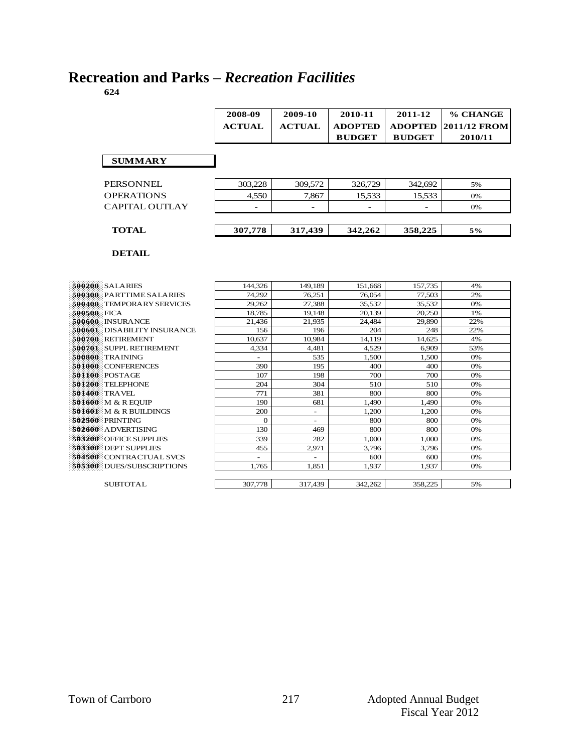# **Recreation and Parks –** *Recreation Facilities*

|                                  | 2008-09        | 2009-10       | 2010-11        | 2011-12        | % CHANGE     |
|----------------------------------|----------------|---------------|----------------|----------------|--------------|
|                                  | <b>ACTUAL</b>  | <b>ACTUAL</b> | <b>ADOPTED</b> | <b>ADOPTED</b> | 2011/12 FROM |
|                                  |                |               | <b>BUDGET</b>  | <b>BUDGET</b>  | 2010/11      |
|                                  |                |               |                |                |              |
|                                  |                |               |                |                |              |
| <b>SUMMARY</b>                   |                |               |                |                |              |
|                                  |                |               |                |                |              |
| <b>PERSONNEL</b>                 | 303,228        | 309.572       | 326,729        | 342.692        | 5%           |
| <b>OPERATIONS</b>                | 4,550          | 7,867         | 15,533         | 15,533         | 0%           |
| CAPITAL OUTLAY                   |                |               |                |                | 0%           |
|                                  |                |               |                |                |              |
|                                  |                |               |                |                |              |
| <b>TOTAL</b>                     | 307,778        | 317,439       | 342,262        | 358,225        | 5%           |
|                                  |                |               |                |                |              |
| <b>DETAIL</b>                    |                |               |                |                |              |
|                                  |                |               |                |                |              |
|                                  |                |               |                |                |              |
|                                  |                |               |                |                |              |
| 500200 SALARIES                  | 144,326        | 149.189       | 151.668        | 157,735        | 4%           |
| 500300 PARTTIME SALARIES         | 74,292         | 76.251        | 76.054         | 77,503         | 2%           |
| <b>500400</b> TEMPORARY SERVICES | 29.262         | 27.388        | 35.532         | 35.532         | 0%           |
| 500500 FICA                      | 18.785         | 19.148        | 20.139         | 20,250         | 1%           |
| 500600 : INSURANCE               | 21,436         | 21,935        | 24,484         | 29,890         | 22%          |
| 500601 DISABILITY INSURANCE      | 156            | 196           | 204            | 248            | 22%          |
| 500700 RETIREMENT                | 10,637         | 10,984        | 14,119         | 14,625         | 4%           |
| 500701 SUPPL RETIREMENT          | 4,334          | 4,481         | 4.529          | 6.909          | 53%          |
| 500800 : TRAINING                |                | 535           | 1,500          | 1,500          | 0%           |
| <b>501000 CONFERENCES</b>        | 390            | 195           | 400            | 400            | 0%           |
| 501100 POSTAGE                   | 107            | 198           | 700            | 700            | 0%           |
| 501200 TELEPHONE                 | 204            | 304           | 510            | 510            | 0%           |
| 501400 TRAVEL                    | 771            | 381           | 800            | 800            | 0%           |
| <b>501600</b> M & R EQUIP        | 190            | 681           | 1.490          | 1.490          | 0%           |
| 501601 M & R BUILDINGS           | 200            |               | 1,200          | 1,200          | 0%           |
| 502500 PRINTING                  | $\mathbf{0}$   | ÷.            | 800            | 800            | 0%           |
| 502600 ADVERTISING               | 130            | 469           | 800            | 800            | 0%           |
| <b>503200</b> OFFICE SUPPLIES    | 339            | 282           | 1.000          | 1.000          | 0%           |
| 503300: DEPT SUPPLIES            | 455            | 2,971         | 3.796          | 3,796          | 0%           |
| 504500 CONTRACTUAL SVCS          | $\blacksquare$ | ÷.            | 600            | 600            | 0%           |
| 505300 DUES/SUBSCRIPTIONS        | 1.765          | 1.851         | 1.937          | 1.937          | 0%           |

SUBTOTAL 307,778 317,439 342,262 358,225 5%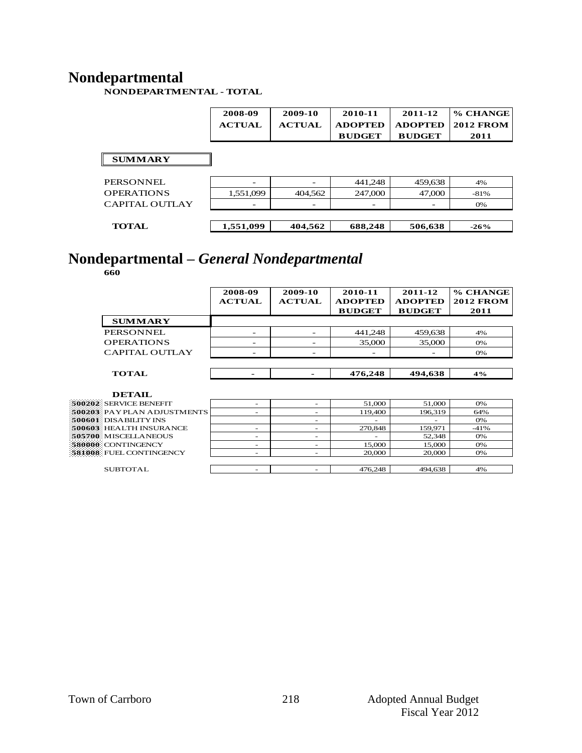### **Nondepartmental**

**NONDEPARTMENTAL - TOTAL**

|                       | 2008-09<br><b>ACTUAL</b> | 2009-10<br><b>ACTUAL</b> | 2010-11<br><b>ADOPTED</b><br><b>BUDGET</b> | 2011-12<br><b>ADOPTED</b><br><b>BUDGET</b> | % CHANGE<br><b>2012 FROM</b><br>2011 |
|-----------------------|--------------------------|--------------------------|--------------------------------------------|--------------------------------------------|--------------------------------------|
| <b>SUMMARY</b>        |                          |                          |                                            |                                            |                                      |
| <b>PERSONNEL</b>      |                          |                          | 441,248                                    | 459,638                                    | 4%                                   |
| <b>OPERATIONS</b>     | 1,551,099                | 404,562                  | 247,000                                    | 47,000                                     | $-81%$                               |
| <b>CAPITAL OUTLAY</b> |                          |                          |                                            |                                            | 0%                                   |
|                       |                          |                          |                                            |                                            |                                      |
| <b>TOTAL</b>          | 1,551,099                | 404,562                  | 688,248                                    | 506,638                                    | $-26%$                               |

# **Nondepartmental –** *General Nondepartmental*

**660**

|                             | 2008-09<br><b>ACTUAL</b> | 2009-10<br><b>ACTUAL</b> | 2010-11<br><b>ADOPTED</b><br><b>BUDGET</b> | 2011-12<br><b>ADOPTED</b><br><b>BUDGET</b> | % CHANGE<br><b>2012 FROM</b><br>2011 |
|-----------------------------|--------------------------|--------------------------|--------------------------------------------|--------------------------------------------|--------------------------------------|
| <b>SUMMARY</b>              |                          |                          |                                            |                                            |                                      |
| PERSONNEL                   |                          |                          | 441,248                                    | 459,638                                    | 4%                                   |
| <b>OPERATIONS</b>           |                          |                          | 35,000                                     | 35,000                                     | $O\%$                                |
| CAPITAL OUTLAY              |                          |                          |                                            |                                            | 0%                                   |
|                             |                          |                          |                                            |                                            |                                      |
| <b>TOTAL</b>                | ۰                        | $\overline{\phantom{0}}$ | 476,248                                    | 494,638                                    | 4%                                   |
| <b>DETAIL</b>               |                          |                          |                                            |                                            |                                      |
| 500202 SERVICE BENEFIT      |                          | $\overline{\phantom{a}}$ | 51,000                                     | 51,000                                     | O%                                   |
| 500203: PAYPLAN ADJUSTMENTS | -                        | $\overline{\phantom{a}}$ | 119,400                                    | 196.319                                    | 64%                                  |
| 500601: DISABILITY INS      |                          | $\overline{\phantom{a}}$ | $\overline{\phantom{a}}$                   |                                            | 0%                                   |
| 500603: HEALTH INSURANCE    | ۰                        | $\overline{\phantom{a}}$ | 270,848                                    | 159.971                                    | $-41%$                               |
| 505700: MISCELLANEOUS       | $\overline{\phantom{a}}$ | $\overline{\phantom{a}}$ |                                            | 52,348                                     | 0%                                   |
| 580000 CONTINGENCY          |                          |                          | 15,000                                     | 15,000                                     | 0%                                   |

**581008** FUEL CONTINGENCY - - 20,000 20,000 0%

SUBTOTAL - - 476,248 494,638 4%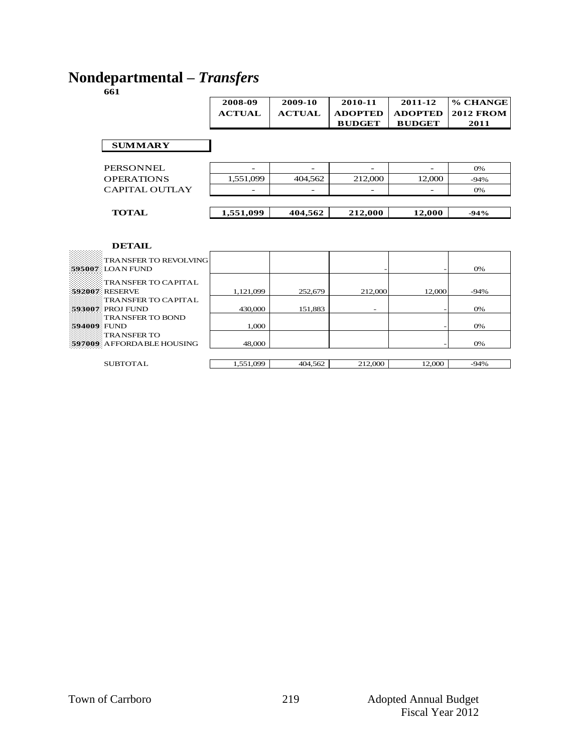### **Nondepartmental –** *Transfers*

Ē

**661**

|                       | 2008-09       | 2009-10       | 2010-11        | 2011-12        | % CHANGE         |
|-----------------------|---------------|---------------|----------------|----------------|------------------|
|                       | <b>ACTUAL</b> | <b>ACTUAL</b> | <b>ADOPTED</b> | <b>ADOPTED</b> | <b>2012 FROM</b> |
|                       |               |               | <b>BUDGET</b>  | <b>BUDGET</b>  | 2011             |
|                       |               |               |                |                |                  |
| <b>SUMMARY</b>        |               |               |                |                |                  |
|                       |               |               |                |                |                  |
| PERSONNEL             |               |               |                |                | 0%               |
| <b>OPERATIONS</b>     | 1,551,099     | 404,562       | 212,000        | 12,000         | $-94%$           |
| <b>CAPITAL OUTLAY</b> |               |               |                |                | 0%               |
|                       |               |               |                |                |                  |
| <b>TOTAL</b>          | 1,551,099     | 404,562       | 212,000        | 12,000         | $-94%$           |
|                       |               |               |                |                |                  |
|                       |               |               |                |                |                  |

| TRANSFER TO REVOLVING     |           |         |                          |        |        |
|---------------------------|-----------|---------|--------------------------|--------|--------|
|                           |           |         |                          |        |        |
| 595007 LOAN FUND          |           |         |                          |        | 0%     |
| TRANSFER TO CAPITAL       |           |         |                          |        |        |
|                           |           |         |                          |        |        |
| 592007 RESERVE            | 1.121.099 | 252,679 | 212,000                  | 12,000 | $-94%$ |
| TRANSFER TO CAPITAL       |           |         |                          |        |        |
| :593007: PROJ FUND        | 430,000   | 151.883 | $\overline{\phantom{0}}$ |        | 0%     |
| TRANSFER TO BOND          |           |         |                          |        |        |
| 594009 FUND               | 1.000     |         |                          |        | 0%     |
| <b>TRANSFER TO</b>        |           |         |                          |        |        |
| 597009 AFFORDABLE HOUSING | 48,000    |         |                          |        | 0%     |
|                           |           |         |                          |        |        |
| <b>SUBTOTAL</b>           | 1.551.099 | 404.562 | 212,000                  | 12,000 | $-94%$ |
|                           |           |         |                          |        |        |